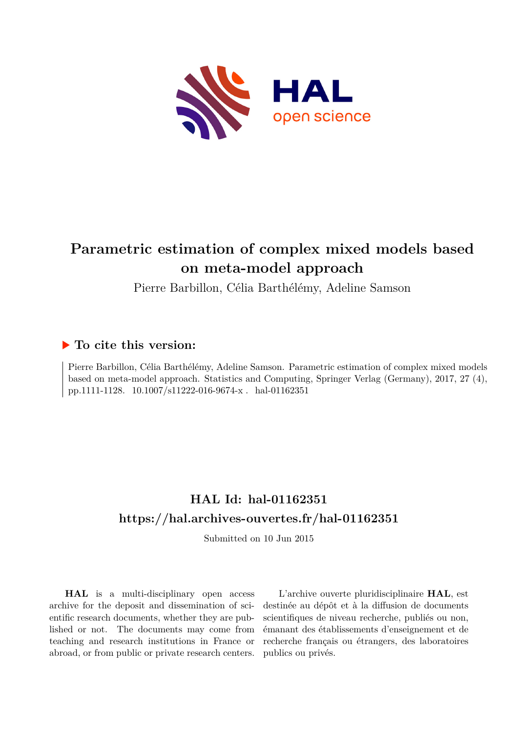

# **Parametric estimation of complex mixed models based on meta-model approach**

Pierre Barbillon, Célia Barthélémy, Adeline Samson

## **To cite this version:**

Pierre Barbillon, Célia Barthélémy, Adeline Samson. Parametric estimation of complex mixed models based on meta-model approach. Statistics and Computing, Springer Verlag (Germany), 2017, 27 (4), pp.1111-1128. 10.1007/s11222-016-9674-x. hal-01162351

# **HAL Id: hal-01162351 <https://hal.archives-ouvertes.fr/hal-01162351>**

Submitted on 10 Jun 2015

**HAL** is a multi-disciplinary open access archive for the deposit and dissemination of scientific research documents, whether they are published or not. The documents may come from teaching and research institutions in France or abroad, or from public or private research centers.

L'archive ouverte pluridisciplinaire **HAL**, est destinée au dépôt et à la diffusion de documents scientifiques de niveau recherche, publiés ou non, émanant des établissements d'enseignement et de recherche français ou étrangers, des laboratoires publics ou privés.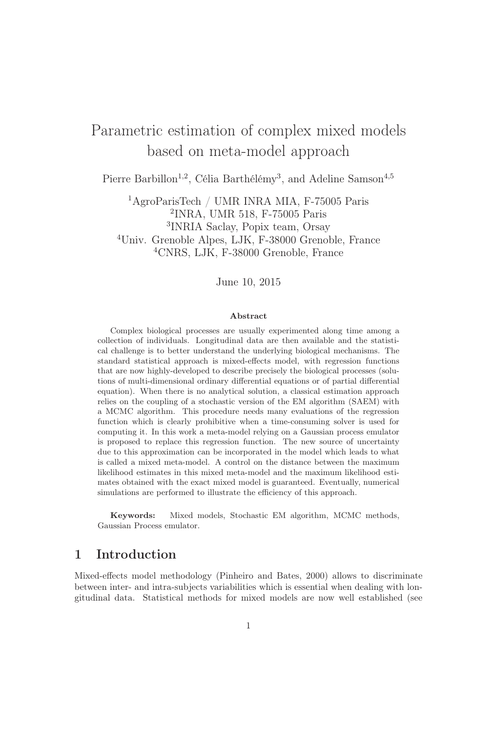# Parametric estimation of complex mixed models based on meta-model approach

Pierre Barbillon<sup>1,2</sup>, Célia Barthélémy<sup>3</sup>, and Adeline Samson<sup>4,5</sup>

AgroParisTech / UMR INRA MIA, F-75005 Paris INRA, UMR 518, F-75005 Paris INRIA Saclay, Popix team, Orsay Univ. Grenoble Alpes, LJK, F-38000 Grenoble, France CNRS, LJK, F-38000 Grenoble, France

June 10, 2015

#### Abstract

Complex biological processes are usually experimented along time among a collection of individuals. Longitudinal data are then available and the statistical challenge is to better understand the underlying biological mechanisms. The standard statistical approach is mixed-effects model, with regression functions that are now highly-developed to describe precisely the biological processes (solutions of multi-dimensional ordinary differential equations or of partial differential equation). When there is no analytical solution, a classical estimation approach relies on the coupling of a stochastic version of the EM algorithm (SAEM) with a MCMC algorithm. This procedure needs many evaluations of the regression function which is clearly prohibitive when a time-consuming solver is used for computing it. In this work a meta-model relying on a Gaussian process emulator is proposed to replace this regression function. The new source of uncertainty due to this approximation can be incorporated in the model which leads to what is called a mixed meta-model. A control on the distance between the maximum likelihood estimates in this mixed meta-model and the maximum likelihood estimates obtained with the exact mixed model is guaranteed. Eventually, numerical simulations are performed to illustrate the efficiency of this approach.

Keywords: Mixed models, Stochastic EM algorithm, MCMC methods, Gaussian Process emulator.

## 1 Introduction

Mixed-effects model methodology (Pinheiro and Bates, 2000) allows to discriminate between inter- and intra-subjects variabilities which is essential when dealing with longitudinal data. Statistical methods for mixed models are now well established (see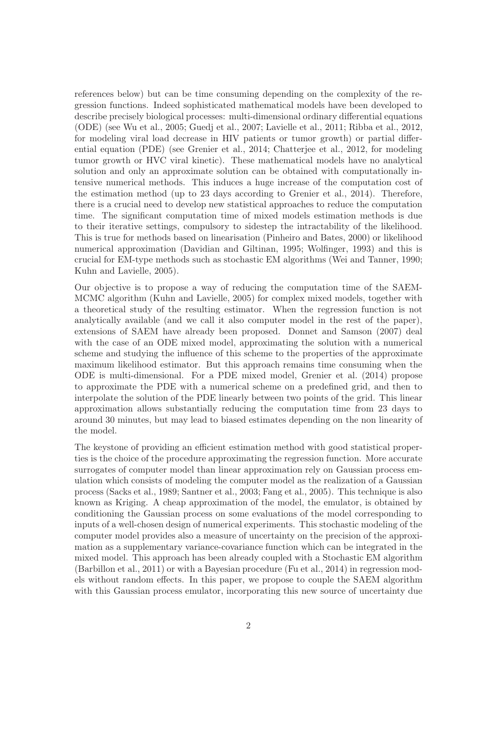references below) but can be time consuming depending on the complexity of the regression functions. Indeed sophisticated mathematical models have been developed to describe precisely biological processes: multi-dimensional ordinary differential equations (ODE) (see Wu et al., 2005; Guedj et al., 2007; Lavielle et al., 2011; Ribba et al., 2012, for modeling viral load decrease in HIV patients or tumor growth) or partial differential equation (PDE) (see Grenier et al., 2014; Chatterjee et al., 2012, for modeling tumor growth or HVC viral kinetic). These mathematical models have no analytical solution and only an approximate solution can be obtained with computationally intensive numerical methods. This induces a huge increase of the computation cost of the estimation method (up to 23 days according to Grenier et al., 2014). Therefore, there is a crucial need to develop new statistical approaches to reduce the computation time. The significant computation time of mixed models estimation methods is due to their iterative settings, compulsory to sidestep the intractability of the likelihood. This is true for methods based on linearisation (Pinheiro and Bates, 2000) or likelihood numerical approximation (Davidian and Giltinan, 1995; Wolfinger, 1993) and this is crucial for EM-type methods such as stochastic EM algorithms (Wei and Tanner, 1990; Kuhn and Lavielle, 2005).

Our objective is to propose a way of reducing the computation time of the SAEM-MCMC algorithm (Kuhn and Lavielle, 2005) for complex mixed models, together with a theoretical study of the resulting estimator. When the regression function is not analytically available (and we call it also computer model in the rest of the paper), extensions of SAEM have already been proposed. Donnet and Samson (2007) deal with the case of an ODE mixed model, approximating the solution with a numerical scheme and studying the influence of this scheme to the properties of the approximate maximum likelihood estimator. But this approach remains time consuming when the ODE is multi-dimensional. For a PDE mixed model, Grenier et al. (2014) propose to approximate the PDE with a numerical scheme on a predefined grid, and then to interpolate the solution of the PDE linearly between two points of the grid. This linear approximation allows substantially reducing the computation time from 23 days to around 30 minutes, but may lead to biased estimates depending on the non linearity of the model.

The keystone of providing an efficient estimation method with good statistical properties is the choice of the procedure approximating the regression function. More accurate surrogates of computer model than linear approximation rely on Gaussian process emulation which consists of modeling the computer model as the realization of a Gaussian process (Sacks et al., 1989; Santner et al., 2003; Fang et al., 2005). This technique is also known as Kriging. A cheap approximation of the model, the emulator, is obtained by conditioning the Gaussian process on some evaluations of the model corresponding to inputs of a well-chosen design of numerical experiments. This stochastic modeling of the computer model provides also a measure of uncertainty on the precision of the approximation as a supplementary variance-covariance function which can be integrated in the mixed model. This approach has been already coupled with a Stochastic EM algorithm (Barbillon et al., 2011) or with a Bayesian procedure (Fu et al., 2014) in regression models without random effects. In this paper, we propose to couple the SAEM algorithm with this Gaussian process emulator, incorporating this new source of uncertainty due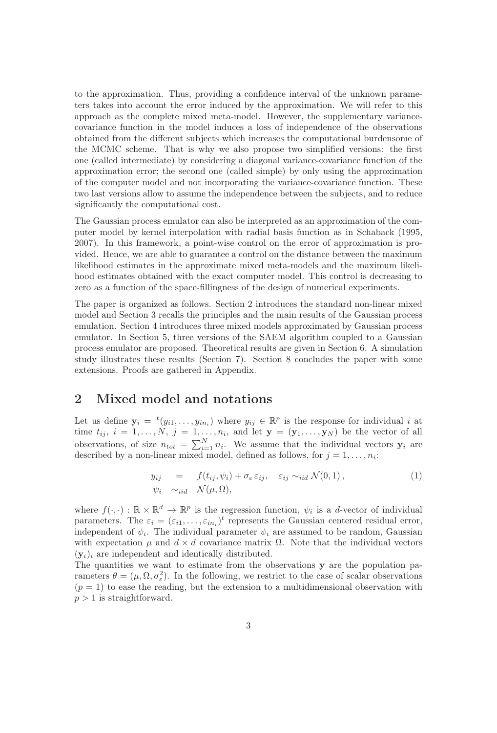to the approximation. Thus, providing a confidence interval of the unknown parameters takes into account the error induced by the approximation. We will refer to this approach as the complete mixed meta-model. However, the supplementary variancecovariance function in the model induces a loss of independence of the observations obtained from the different subjects which increases the computational burdensome of the MCMC scheme. That is why we also propose two simplified versions: the first one (called intermediate) by considering a diagonal variance-covariance function of the approximation error; the second one (called simple) by only using the approximation of the computer model and not incorporating the variance-covariance function. These two last versions allow to assume the independence between the subjects, and to reduce significantly the computational cost.

The Gaussian process emulator can also be interpreted as an approximation of the computer model by kernel interpolation with radial basis function as in Schaback (1995, 2007). In this framework, a point-wise control on the error of approximation is provided. Hence, we are able to guarantee a control on the distance between the maximum likelihood estimates in the approximate mixed meta-models and the maximum likelihood estimates obtained with the exact computer model. This control is decreasing to zero as a function of the space-fillingness of the design of numerical experiments.

The paper is organized as follows. Section 2 introduces the standard non-linear mixed model and Section 3 recalls the principles and the main results of the Gaussian process emulation. Section 4 introduces three mixed models approximated by Gaussian process emulator. In Section 5, three versions of the SAEM algorithm coupled to a Gaussian process emulator are proposed. Theoretical results are given in Section 6. A simulation study illustrates these results (Section 7). Section 8 concludes the paper with some extensions. Proofs are gathered in Appendix.

### 2 Mixed model and notations

Let us define  $y_i = {}^t(y_{i1}, \ldots, y_{in_i})$  where  $y_{ij} \in \mathbb{R}^p$  is the response for individual i at time  $t_{ij}, i = 1, \ldots, N, j = 1, \ldots, n_i$ , and let  $\mathbf{y} = (\mathbf{y}_1, \ldots, \mathbf{y}_N)$  be the vector of all observations, of size  $n_{tot} = \sum_{i=1}^{N} n_i$ . We assume that the individual vectors  $y_i$  are described by a non-linear mixed model, defined as follows, for  $j = 1, \ldots, n_i$ :

$$
y_{ij} = f(t_{ij}, \psi_i) + \sigma_{\varepsilon} \varepsilon_{ij}, \quad \varepsilon_{ij} \sim_{iid} \mathcal{N}(0, 1),
$$
  
\n
$$
\psi_i \sim_{iid} \mathcal{N}(\mu, \Omega),
$$
\n(1)

where  $f(\cdot, \cdot) : \mathbb{R} \times \mathbb{R}^d \to \mathbb{R}^p$  is the regression function,  $\psi_i$  is a d-vector of individual parameters. The  $\varepsilon_i = (\varepsilon_{i1}, \ldots, \varepsilon_{in_i})^t$  represents the Gaussian centered residual error, independent of  $\psi_i$ . The individual parameter  $\psi_i$  are assumed to be random, Gaussian with expectation  $\mu$  and  $d \times d$  covariance matrix  $\Omega$ . Note that the individual vectors  $(y_i)_i$  are independent and identically distributed.

The quantities we want to estimate from the observations y are the population parameters  $\theta = (\mu, \Omega, \sigma_{\varepsilon}^2)$ . In the following, we restrict to the case of scalar observations  $(p = 1)$  to ease the reading, but the extension to a multidimensional observation with  $p > 1$  is straightforward.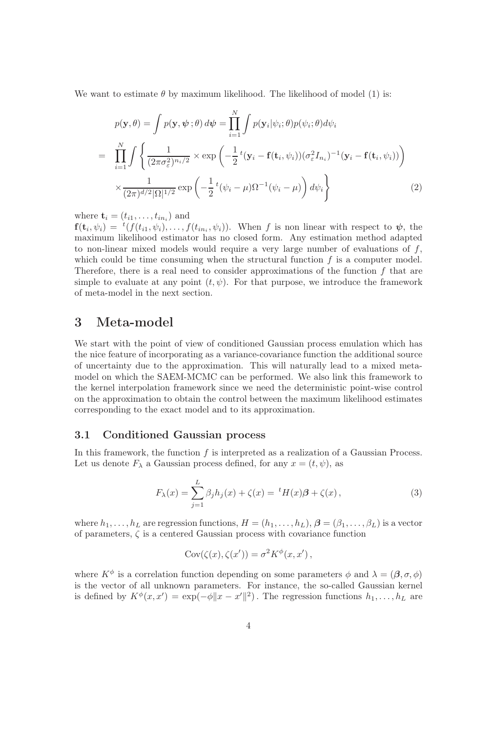We want to estimate  $\theta$  by maximum likelihood. The likelihood of model (1) is:

$$
p(\mathbf{y}, \theta) = \int p(\mathbf{y}, \psi; \theta) d\psi = \prod_{i=1}^{N} \int p(\mathbf{y}_i | \psi_i; \theta) p(\psi_i; \theta) d\psi_i
$$
  
\n
$$
= \prod_{i=1}^{N} \int \left\{ \frac{1}{(2\pi \sigma_{\varepsilon}^2)^{n_i/2}} \times \exp\left( -\frac{1}{2} t(\mathbf{y}_i - \mathbf{f}(\mathbf{t}_i, \psi_i)) (\sigma_{\varepsilon}^2 I_{n_i})^{-1} (\mathbf{y}_i - \mathbf{f}(\mathbf{t}_i, \psi_i)) \right) \times \frac{1}{(2\pi)^{d/2} |\Omega|^{1/2}} \exp\left( -\frac{1}{2} t(\psi_i - \mu) \Omega^{-1} (\psi_i - \mu) \right) d\psi_i \right\}
$$
(2)

where  $\mathbf{t}_i = (t_{i1}, \dots, t_{in_i})$  and

 $f(t_i, \psi_i) = {}^t(f(t_{i1}, \psi_i), \dots, f(t_{in_i}, \psi_i))$ . When f is non linear with respect to  $\psi$ , the maximum likelihood estimator has no closed form. Any estimation method adapted to non-linear mixed models would require a very large number of evaluations of  $f$ , which could be time consuming when the structural function  $f$  is a computer model. Therefore, there is a real need to consider approximations of the function  $f$  that are simple to evaluate at any point  $(t, \psi)$ . For that purpose, we introduce the framework of meta-model in the next section.

## 3 Meta-model

We start with the point of view of conditioned Gaussian process emulation which has the nice feature of incorporating as a variance-covariance function the additional source of uncertainty due to the approximation. This will naturally lead to a mixed metamodel on which the SAEM-MCMC can be performed. We also link this framework to the kernel interpolation framework since we need the deterministic point-wise control on the approximation to obtain the control between the maximum likelihood estimates corresponding to the exact model and to its approximation.

#### 3.1 Conditioned Gaussian process

In this framework, the function  $f$  is interpreted as a realization of a Gaussian Process. Let us denote  $F_{\lambda}$  a Gaussian process defined, for any  $x = (t, \psi)$ , as

$$
F_{\lambda}(x) = \sum_{j=1}^{L} \beta_j h_j(x) + \zeta(x) = {}^{t}H(x)\beta + \zeta(x), \qquad (3)
$$

where  $h_1, \ldots, h_L$  are regression functions,  $H = (h_1, \ldots, h_L)$ ,  $\boldsymbol{\beta} = (\beta_1, \ldots, \beta_L)$  is a vector of parameters,  $\zeta$  is a centered Gaussian process with covariance function

$$
Cov(\zeta(x), \zeta(x')) = \sigma^2 K^{\phi}(x, x'),
$$

where  $K^{\phi}$  is a correlation function depending on some parameters  $\phi$  and  $\lambda = (\beta, \sigma, \phi)$ is the vector of all unknown parameters. For instance, the so-called Gaussian kernel is defined by  $K^{\phi}(x, x') = \exp(-\phi \|x - x'\|^2)$ . The regression functions  $h_1, \ldots, h_L$  are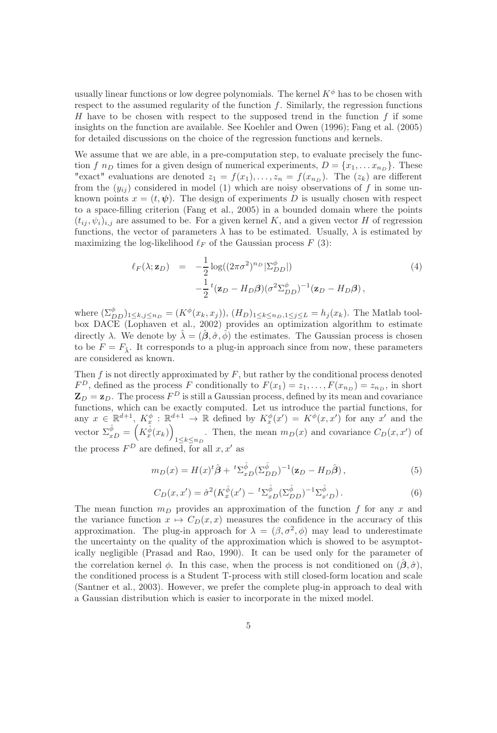usually linear functions or low degree polynomials. The kernel  $K^{\phi}$  has to be chosen with respect to the assumed regularity of the function  $f$ . Similarly, the regression functions H have to be chosen with respect to the supposed trend in the function  $f$  if some insights on the function are available. See Koehler and Owen (1996); Fang et al. (2005) for detailed discussions on the choice of the regression functions and kernels.

We assume that we are able, in a pre-computation step, to evaluate precisely the function f  $n_D$  times for a given design of numerical experiments,  $D = \{x_1, \ldots x_{n_D}\}.$  These "exact" evaluations are denoted  $z_1 = f(x_1), \ldots, z_n = f(x_{n_D})$ . The  $(z_k)$  are different from the  $(y_{ii})$  considered in model (1) which are noisy observations of f in some unknown points  $x = (t, \psi)$ . The design of experiments D is usually chosen with respect to a space-filling criterion (Fang et al., 2005) in a bounded domain where the points  $(t_{ij}, \psi_i)_{i,j}$  are assumed to be. For a given kernel K, and a given vector H of regression functions, the vector of parameters  $\lambda$  has to be estimated. Usually,  $\lambda$  is estimated by maximizing the log-likelihood  $\ell_F$  of the Gaussian process  $F(3)$ :

$$
\ell_F(\lambda; \mathbf{z}_D) = -\frac{1}{2} \log((2\pi\sigma^2)^{n_D} |\Sigma_{DD}^{\phi}|)
$$
  

$$
-\frac{1}{2}{}^t(\mathbf{z}_D - H_D \boldsymbol{\beta}) (\sigma^2 \Sigma_{DD}^{\phi})^{-1} (\mathbf{z}_D - H_D \boldsymbol{\beta}),
$$
\n(4)

where  $(\Sigma_{DD}^{\phi})_{1\leq k,j\leq n_D} = (K^{\phi}(x_k, x_j)), (H_D)_{1\leq k\leq n_D, 1\leq j\leq L} = h_j(x_k)$ . The Matlab toolbox DACE (Lophaven et al., 2002) provides an optimization algorithm to estimate directly  $\lambda$ . We denote by  $\hat{\lambda} = (\hat{\beta}, \hat{\sigma}, \hat{\phi})$  the estimates. The Gaussian process is chosen to be  $F = F_{\hat{\lambda}}$ . It corresponds to a plug-in approach since from now, these parameters are considered as known.

Then  $f$  is not directly approximated by  $F$ , but rather by the conditional process denoted  $F^D$ , defined as the process F conditionally to  $F(x_1) = z_1, \ldots, F(x_{n_D}) = z_{n_D}$ , in short  $\mathbf{Z}_D = \mathbf{z}_D$ . The process  $F^D$  is still a Gaussian process, defined by its mean and covariance functions, which can be exactly computed. Let us introduce the partial functions, for any  $x \in \mathbb{R}^{d+1}$ ,  $K_x^{\phi} : \mathbb{R}^{d+1} \to \mathbb{R}$  defined by  $K_x^{\phi}(x') = K^{\phi}(x, x')$  for any  $x'$  and the vector  $\Sigma_{xD}^{\hat{\phi}} = \left(K_x^{\hat{\phi}}(x_k)\right)$ . Then, the mean  $m_D(x)$  and covariance  $C_D(x, x')$  of  $1 \le k \le n_D$ the process  $F^D$  are defined, for all  $x, x'$  as

$$
m_D(x) = H(x)^t \hat{\boldsymbol{\beta}} + {}^t \Sigma_{xD}^{\hat{\phi}} (\Sigma_{DD}^{\hat{\phi}})^{-1} (\mathbf{z}_D - H_D \hat{\boldsymbol{\beta}}), \qquad (5)
$$

$$
C_D(x, x') = \hat{\sigma}^2 (K_x^{\hat{\phi}}(x') - {}^t\Sigma_{xD}^{\hat{\phi}}(\Sigma_{DD}^{\hat{\phi}})^{-1}\Sigma_{x'D}^{\hat{\phi}}).
$$
(6)

The mean function  $m_D$  provides an approximation of the function f for any x and the variance function  $x \mapsto C_D(x, x)$  measures the confidence in the accuracy of this approximation. The plug-in approach for  $\lambda = (\beta, \sigma^2, \phi)$  may lead to underestimate the uncertainty on the quality of the approximation which is showed to be asymptotically negligible (Prasad and Rao, 1990). It can be used only for the parameter of the correlation kernel  $\phi$ . In this case, when the process is not conditioned on  $(\beta, \hat{\sigma})$ , the conditioned process is a Student T-process with still closed-form location and scale (Santner et al., 2003). However, we prefer the complete plug-in approach to deal with a Gaussian distribution which is easier to incorporate in the mixed model.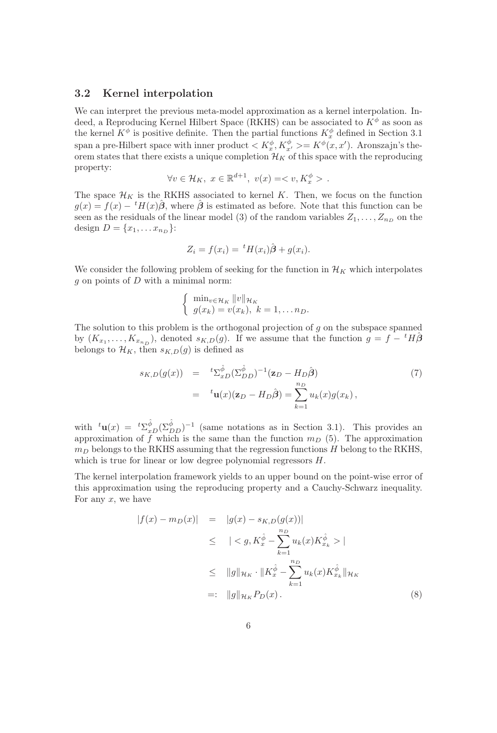#### 3.2 Kernel interpolation

We can interpret the previous meta-model approximation as a kernel interpolation. Indeed, a Reproducing Kernel Hilbert Space (RKHS) can be associated to  $K^{\phi}$  as soon as the kernel  $K^{\phi}$  is positive definite. Then the partial functions  $K_x^{\phi}$  defined in Section 3.1 span a pre-Hilbert space with inner product  $\langle K_x^{\phi}, K_{x'}^{\phi} \rangle = K^{\phi}(x, x')$ . Aronszajn's theorem states that there exists a unique completion  $\mathcal{H}_K$  of this space with the reproducing property:

$$
\forall v \in \mathcal{H}_K, \ x \in \mathbb{R}^{d+1}, \ v(x) = \langle v, K_x^{\phi} \rangle \ .
$$

The space  $\mathcal{H}_K$  is the RKHS associated to kernel K. Then, we focus on the function  $g(x) = f(x) - {}^{t}H(x)\hat{\boldsymbol{\beta}}$ , where  $\hat{\boldsymbol{\beta}}$  is estimated as before. Note that this function can be seen as the residuals of the linear model (3) of the random variables  $Z_1, \ldots, Z_{n_D}$  on the design  $D = \{x_1, \ldots x_{n_D}\}$ :

$$
Z_i = f(x_i) = {}^t H(x_i) \hat{\boldsymbol{\beta}} + g(x_i).
$$

We consider the following problem of seeking for the function in  $\mathcal{H}_K$  which interpolates  $g$  on points of  $D$  with a minimal norm:

$$
\begin{cases} \min_{v \in \mathcal{H}_K} ||v||_{\mathcal{H}_K} \\ g(x_k) = v(x_k), \ k = 1, \dots n_D. \end{cases}
$$

The solution to this problem is the orthogonal projection of  $g$  on the subspace spanned by  $(K_{x_1},...,K_{x_{n_D}})$ , denoted  $s_{K,D}(g)$ . If we assume that the function  $g = f - {}^t H \hat{\beta}$ belongs to  $\mathcal{H}_K$ , then  $s_{K,D}(g)$  is defined as

$$
s_{K,D}(g(x)) = {}^{t}\Sigma^{\hat{\phi}}_{xD}(\Sigma^{\hat{\phi}}_{DD})^{-1}(\mathbf{z}_{D} - H_{D}\hat{\boldsymbol{\beta}})
$$
  

$$
= {}^{t}\mathbf{u}(x)(\mathbf{z}_{D} - H_{D}\hat{\boldsymbol{\beta}}) = \sum_{k=1}^{n_{D}} u_{k}(x)g(x_{k}),
$$
 (7)

with  ${}^t\mathbf{u}(x) = {}^t\Sigma_{xD}^{\hat{\phi}}(\Sigma_{DD}^{\hat{\phi}})^{-1}$  (same notations as in Section 3.1). This provides an approximation of f which is the same than the function  $m_D$  (5). The approximation  $m_D$  belongs to the RKHS assuming that the regression functions  $H$  belong to the RKHS, which is true for linear or low degree polynomial regressors  $H$ .

The kernel interpolation framework yields to an upper bound on the point-wise error of this approximation using the reproducing property and a Cauchy-Schwarz inequality. For any  $x$ , we have

$$
|f(x) - m_D(x)| = |g(x) - s_{K,D}(g(x))|
$$
  
\n
$$
\leq |< g, K_x^{\hat{\phi}} - \sum_{k=1}^{n_D} u_k(x) K_{x_k}^{\hat{\phi}} > |
$$
  
\n
$$
\leq ||g||_{\mathcal{H}_K} \cdot ||K_x^{\hat{\phi}} - \sum_{k=1}^{n_D} u_k(x) K_{x_k}^{\hat{\phi}}||_{\mathcal{H}_K}
$$
  
\n
$$
=: ||g||_{\mathcal{H}_K} P_D(x).
$$
 (8)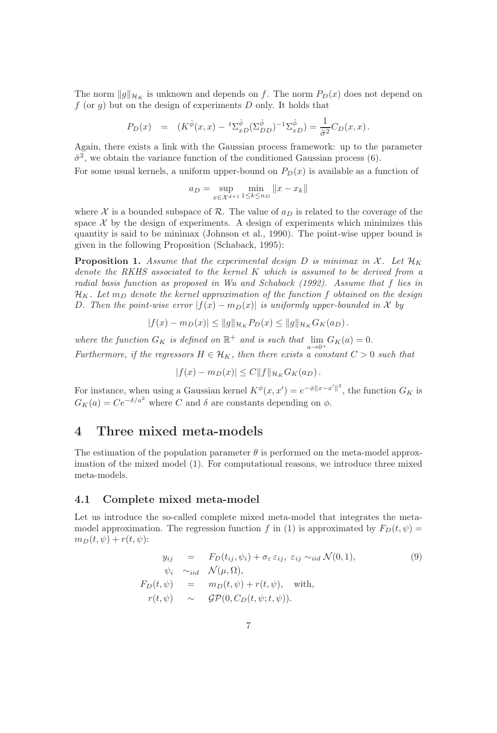The norm  $\|g\|_{\mathcal{H}_K}$  is unknown and depends on f. The norm  $P_D(x)$  does not depend on f (or  $q$ ) but on the design of experiments D only. It holds that

$$
P_D(x) = (K^{\hat{\phi}}(x, x) - {}^{t}\Sigma_{xD}^{\hat{\phi}}(\Sigma_{DD}^{\hat{\phi}})^{-1}\Sigma_{xD}^{\hat{\phi}}) = \frac{1}{\hat{\sigma}^2}C_D(x, x).
$$

Again, there exists a link with the Gaussian process framework: up to the parameter  $\hat{\sigma}^2$ , we obtain the variance function of the conditioned Gaussian process (6).

For some usual kernels, a uniform upper-bound on  $P_D(x)$  is available as a function of

$$
a_D = \sup_{x \in \mathcal{X}^{d+1}} \min_{1 \le k \le n_D} \|x - x_k\|
$$

where X is a bounded subspace of R. The value of  $a<sub>D</sub>$  is related to the coverage of the space  $X$  by the design of experiments. A design of experiments which minimizes this quantity is said to be minimax (Johnson et al., 1990). The point-wise upper bound is given in the following Proposition (Schaback, 1995):

**Proposition 1.** Assume that the experimental design D is minimax in X. Let  $\mathcal{H}_K$ denote the RKHS associated to the kernel K which is assumed to be derived from a radial basis function as proposed in Wu and Schaback (1992). Assume that f lies in  $\mathcal{H}_K$ . Let  $m_D$  denote the kernel approximation of the function f obtained on the design D. Then the point-wise error  $|f(x) - m_D(x)|$  is uniformly upper-bounded in X by

$$
|f(x) - m_D(x)| \le ||g||_{\mathcal{H}_K} P_D(x) \le ||g||_{\mathcal{H}_K} G_K(a_D).
$$

where the function  $G_K$  is defined on  $\mathbb{R}^+$  and is such that  $\lim_{n \to \infty} G_K(a) = 0$ .

Furthermore, if the regressors  $H \in \mathcal{H}_K$ , then there exists a constant  $C > 0$  such that

$$
|f(x) - m_D(x)| \le C ||f||_{\mathcal{H}_K} G_K(a_D).
$$

For instance, when using a Gaussian kernel  $K^{\phi}(x, x') = e^{-\phi ||x - x'||^2}$ , the function  $G_K$  is  $G_K(a) = Ce^{-\delta/a^2}$  where C and  $\delta$  are constants depending on  $\phi$ .

## 4 Three mixed meta-models

The estimation of the population parameter  $\theta$  is performed on the meta-model approximation of the mixed model (1). For computational reasons, we introduce three mixed meta-models.

#### 4.1 Complete mixed meta-model

Let us introduce the so-called complete mixed meta-model that integrates the metamodel approximation. The regression function f in (1) is approximated by  $F_D(t, \psi)$  =  $m_D(t, \psi) + r(t, \psi)$ :

$$
y_{ij} = F_D(t_{ij}, \psi_i) + \sigma_{\varepsilon} \varepsilon_{ij}, \varepsilon_{ij} \sim_{iid} \mathcal{N}(0, 1),
$$
  
\n
$$
\psi_i \sim_{iid} \mathcal{N}(\mu, \Omega),
$$
  
\n
$$
F_D(t, \psi) = m_D(t, \psi) + r(t, \psi), \text{ with,}
$$
  
\n
$$
r(t, \psi) \sim \mathcal{GP}(0, C_D(t, \psi; t, \psi)).
$$
\n(9)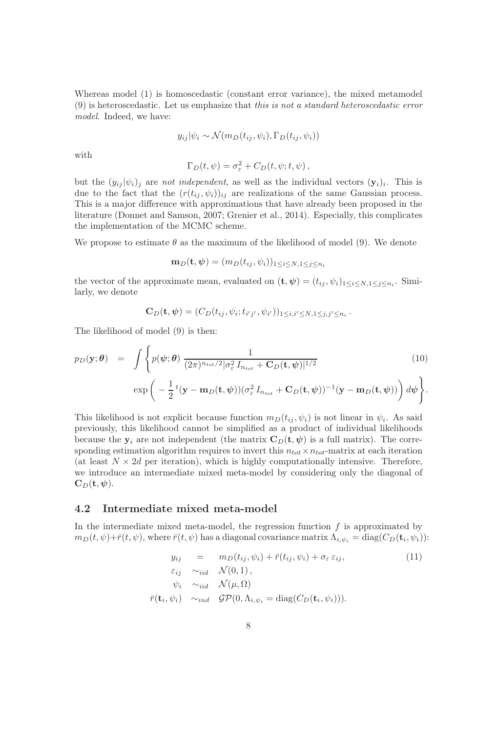Whereas model (1) is homoscedastic (constant error variance), the mixed metamodel (9) is heteroscedastic. Let us emphasize that this is not a standard heteroscedastic error model. Indeed, we have:

$$
y_{ij}|\psi_i \sim \mathcal{N}(m_D(t_{ij}, \psi_i), \Gamma_D(t_{ij}, \psi_i))
$$

with

$$
\Gamma_D(t, \psi) = \sigma_{\varepsilon}^2 + C_D(t, \psi; t, \psi),
$$

but the  $(y_{ij}|\psi_i)_j$  are not independent, as well as the individual vectors  $(\mathbf{y}_i)_i$ . This is due to the fact that the  $(r(t_{ij}, \psi_i))_{ij}$  are realizations of the same Gaussian process. This is a major difference with approximations that have already been proposed in the literature (Donnet and Samson, 2007; Grenier et al., 2014). Especially, this complicates the implementation of the MCMC scheme.

We propose to estimate  $\theta$  as the maximum of the likelihood of model (9). We denote

$$
\mathbf{m}_D(\mathbf{t},\boldsymbol{\psi}) = (m_D(t_{ij},\psi_i))_{1 \leq i \leq N, 1 \leq j \leq n_i}
$$

the vector of the approximate mean, evaluated on  $(\mathbf{t}, \psi) = (t_{ij}, \psi_i)_{1 \leq i \leq N, 1 \leq j \leq n_i}$ . Similarly, we denote

$$
\mathbf{C}_D(\mathbf{t}, \boldsymbol{\psi}) = (C_D(t_{ij}, \psi_i; t_{i'j'}, \psi_{i'}))_{1 \leq i, i' \leq N, 1 \leq j, j' \leq n_i}.
$$

The likelihood of model (9) is then:

$$
p_D(\mathbf{y};\boldsymbol{\theta}) = \int \left\{ p(\boldsymbol{\psi};\boldsymbol{\theta}) \frac{1}{(2\pi)^{n_{tot}/2} |\sigma_{\varepsilon}^2 I_{n_{tot}} + \mathbf{C}_D(\mathbf{t},\boldsymbol{\psi})|^{1/2}} \right. \left. (10)
$$
  

$$
\exp\left(-\frac{1}{2}t(\mathbf{y}-\mathbf{m}_D(\mathbf{t},\boldsymbol{\psi}))(\sigma_{\varepsilon}^2 I_{n_{tot}} + \mathbf{C}_D(\mathbf{t},\boldsymbol{\psi}))^{-1}(\mathbf{y}-\mathbf{m}_D(\mathbf{t},\boldsymbol{\psi}))\right) d\boldsymbol{\psi}\right\}.
$$

This likelihood is not explicit because function  $m_D(t_{ij}, \psi_i)$  is not linear in  $\psi_i$ . As said previously, this likelihood cannot be simplified as a product of individual likelihoods because the  $y_i$  are not independent (the matrix  $C_D(t, \psi)$  is a full matrix). The corresponding estimation algorithm requires to invert this  $n_{tot} \times n_{tot}$ -matrix at each iteration (at least  $N \times 2d$  per iteration), which is highly computationally intensive. Therefore, we introduce an intermediate mixed meta-model by considering only the diagonal of  $\mathbf{C}_D(\mathbf{t},\boldsymbol{\psi}).$ 

#### 4.2 Intermediate mixed meta-model

In the intermediate mixed meta-model, the regression function  $f$  is approximated by  $m_D(t,\psi) + \bar{r}(t,\psi),$  where  $\bar{r}(t,\psi)$  has a diagonal covariance matrix  $\Lambda_{i,\psi_i} = \text{diag}(C_D(\mathbf{t}_i,\psi_i))$ :

$$
y_{ij} = m_D(t_{ij}, \psi_i) + \bar{r}(t_{ij}, \psi_i) + \sigma_{\varepsilon} \varepsilon_{ij},
$$
  
\n
$$
\varepsilon_{ij} \sim_{iid} \mathcal{N}(0, 1),
$$
  
\n
$$
\psi_i \sim_{iid} \mathcal{N}(\mu, \Omega)
$$
  
\n
$$
\bar{r}(\mathbf{t}_i, \psi_i) \sim_{ind} \mathcal{GP}(0, \Lambda_{i, \psi_i} = \text{diag}(C_D(\mathbf{t}_i, \psi_i))).
$$
\n(11)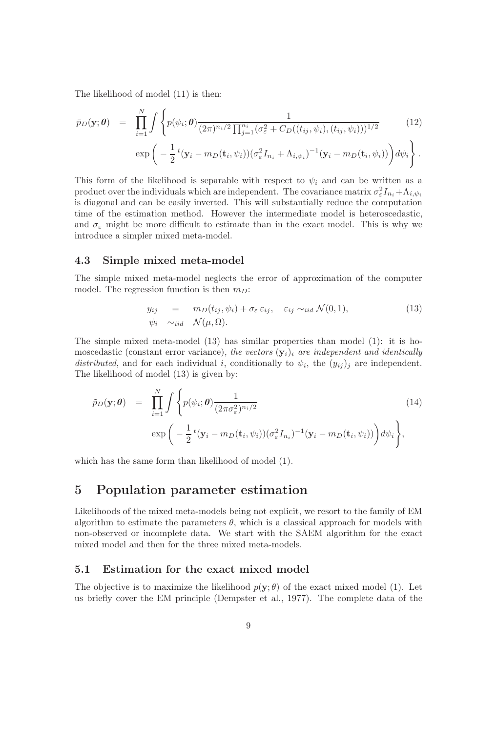The likelihood of model (11) is then:

$$
\bar{p}_D(\mathbf{y};\boldsymbol{\theta}) = \prod_{i=1}^N \int \left\{ p(\psi_i;\boldsymbol{\theta}) \frac{1}{(2\pi)^{n_i/2} \prod_{j=1}^{n_i} (\sigma_{\varepsilon}^2 + C_D((t_{ij},\psi_i),(t_{ij},\psi_i)))^{1/2}} \exp\left(-\frac{1}{2}t(\mathbf{y}_i - m_D(\mathbf{t}_i,\psi_i))(\sigma_{\varepsilon}^2 I_{n_i} + \Lambda_{i,\psi_i})^{-1}(\mathbf{y}_i - m_D(\mathbf{t}_i,\psi_i))\right) d\psi_i\right\}.
$$
\n(12)

This form of the likelihood is separable with respect to  $\psi_i$  and can be written as a product over the individuals which are independent. The covariance matrix  $\sigma_{\varepsilon}^2 I_{n_i} + \Lambda_{i,\psi_i}$ is diagonal and can be easily inverted. This will substantially reduce the computation time of the estimation method. However the intermediate model is heteroscedastic, and  $\sigma_{\varepsilon}$  might be more difficult to estimate than in the exact model. This is why we introduce a simpler mixed meta-model.

#### 4.3 Simple mixed meta-model

The simple mixed meta-model neglects the error of approximation of the computer model. The regression function is then  $m_D$ :

$$
y_{ij} = m_D(t_{ij}, \psi_i) + \sigma_{\varepsilon} \varepsilon_{ij}, \quad \varepsilon_{ij} \sim_{iid} \mathcal{N}(0, 1),
$$
  
\n
$$
\psi_i \sim_{iid} \mathcal{N}(\mu, \Omega).
$$
 (13)

The simple mixed meta-model (13) has similar properties than model (1): it is homoscedastic (constant error variance), the vectors  $(\mathbf{y}_i)_i$  are independent and identically distributed, and for each individual i, conditionally to  $\psi_i$ , the  $(y_{ij})_j$  are independent. The likelihood of model (13) is given by:

$$
\tilde{p}_D(\mathbf{y};\boldsymbol{\theta}) = \prod_{i=1}^N \int \left\{ p(\psi_i; \boldsymbol{\theta}) \frac{1}{(2\pi \sigma_{\varepsilon}^2)^{n_i/2}} \left( 14 \right) \right\}
$$
\n
$$
\exp\left( -\frac{1}{2} t(\mathbf{y}_i - m_D(\mathbf{t}_i, \psi_i)) (\sigma_{\varepsilon}^2 I_{n_i})^{-1} (\mathbf{y}_i - m_D(\mathbf{t}_i, \psi_i)) \right) d\psi_i \right\},\tag{14}
$$

which has the same form than likelihood of model (1).

## 5 Population parameter estimation

Likelihoods of the mixed meta-models being not explicit, we resort to the family of EM algorithm to estimate the parameters  $\theta$ , which is a classical approach for models with non-observed or incomplete data. We start with the SAEM algorithm for the exact mixed model and then for the three mixed meta-models.

#### 5.1 Estimation for the exact mixed model

The objective is to maximize the likelihood  $p(\mathbf{y}; \theta)$  of the exact mixed model (1). Let us briefly cover the EM principle (Dempster et al., 1977). The complete data of the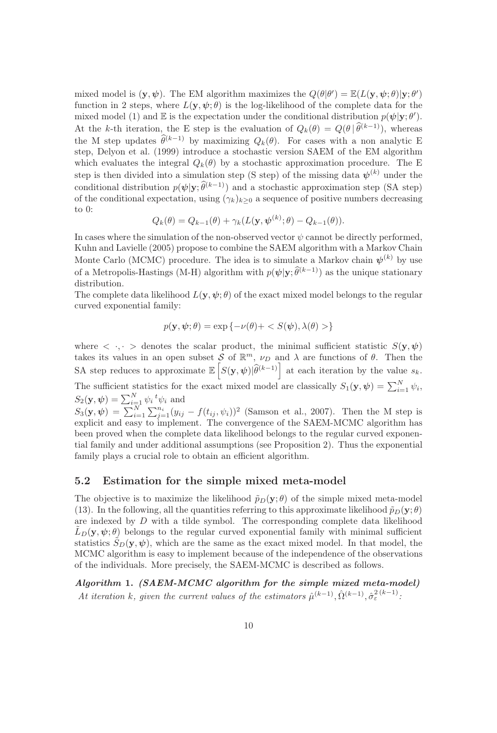mixed model is  $(\mathbf{y}, \psi)$ . The EM algorithm maximizes the  $Q(\theta|\theta') = \mathbb{E}(L(\mathbf{y}, \psi; \theta)|\mathbf{y}; \theta')$ function in 2 steps, where  $L(\mathbf{y}, \psi; \theta)$  is the log-likelihood of the complete data for the mixed model (1) and  $\mathbb E$  is the expectation under the conditional distribution  $p(\psi|\mathbf{y};\theta')$ . At the k-th iteration, the E step is the evaluation of  $Q_k(\theta) = Q(\theta|\widehat{\theta}^{(k-1)})$ , whereas the M step updates  $\hat{\theta}^{(k-1)}$  by maximizing  $Q_k(\theta)$ . For cases with a non analytic E step, Delyon et al. (1999) introduce a stochastic version SAEM of the EM algorithm which evaluates the integral  $Q_k(\theta)$  by a stochastic approximation procedure. The E step is then divided into a simulation step (S step) of the missing data  $\psi^{(k)}$  under the conditional distribution  $p(\psi|\mathbf{y}; \hat{\theta}^{(k-1)})$  and a stochastic approximation step (SA step) of the conditional expectation, using  $(\gamma_k)_{k>0}$  a sequence of positive numbers decreasing to 0:

$$
Q_k(\theta) = Q_{k-1}(\theta) + \gamma_k(L(\mathbf{y}, \boldsymbol{\psi}^{(k)}; \theta) - Q_{k-1}(\theta)).
$$

In cases where the simulation of the non-observed vector  $\psi$  cannot be directly performed, Kuhn and Lavielle (2005) propose to combine the SAEM algorithm with a Markov Chain Monte Carlo (MCMC) procedure. The idea is to simulate a Markov chain  $\psi^{(k)}$  by use of a Metropolis-Hastings (M-H) algorithm with  $p(\psi|\mathbf{y}; \hat{\theta}^{(k-1)})$  as the unique stationary distribution.

The complete data likelihood  $L(\mathbf{y}, \psi; \theta)$  of the exact mixed model belongs to the regular curved exponential family:

$$
p(\mathbf{y}, \psi; \theta) = \exp\left\{-\nu(\theta) + \langle S(\psi), \lambda(\theta) \rangle\right\}
$$

where  $\langle \cdot, \cdot \rangle$  denotes the scalar product, the minimal sufficient statistic  $S(\mathbf{y}, \psi)$ takes its values in an open subset S of  $\mathbb{R}^m$ ,  $\nu_D$  and  $\lambda$  are functions of  $\theta$ . Then the SA step reduces to approximate  $\mathbb{E}\left[S(\mathbf{y},\boldsymbol{\psi})\big|\widehat{\theta}^{(k-1)}\right]$  at each iteration by the value  $s_k$ . The sufficient statistics for the exact mixed model are classically  $S_1(\mathbf{y}, \psi) = \sum_{i=1}^N \psi_i$ ,  $S_2(\mathbf{y}, \boldsymbol{\psi}) = \sum_{i=1}^N \psi_i^{\ t} \psi_i$  and  $S_3(\mathbf{y}, \psi) = \sum_{i=1}^N \sum_{j=1}^{n_i} (y_{ij} - f(t_{ij}, \psi_i))^2$  (Samson et al., 2007). Then the M step is

explicit and easy to implement. The convergence of the SAEM-MCMC algorithm has been proved when the complete data likelihood belongs to the regular curved exponential family and under additional assumptions (see Proposition 2). Thus the exponential family plays a crucial role to obtain an efficient algorithm.

#### 5.2 Estimation for the simple mixed meta-model

The objective is to maximize the likelihood  $\tilde{p}_D(\mathbf{y}; \theta)$  of the simple mixed meta-model (13). In the following, all the quantities referring to this approximate likelihood  $\tilde{p}_D(\mathbf{y}; \theta)$ are indexed by  $D$  with a tilde symbol. The corresponding complete data likelihood  $L_D(\mathbf{y}, \psi; \theta)$  belongs to the regular curved exponential family with minimal sufficient statistics  $S_D(\mathbf{y}, \psi)$ , which are the same as the exact mixed model. In that model, the MCMC algorithm is easy to implement because of the independence of the observations of the individuals. More precisely, the SAEM-MCMC is described as follows.

Algorithm 1. (SAEM-MCMC algorithm for the simple mixed meta-model) At iteration k, given the current values of the estimators  $\hat{\mu}^{(k-1)}$ ,  $\hat{\Omega}^{(k-1)}$ ,  $\hat{\sigma}_{\varepsilon}^{2(k-1)}$ .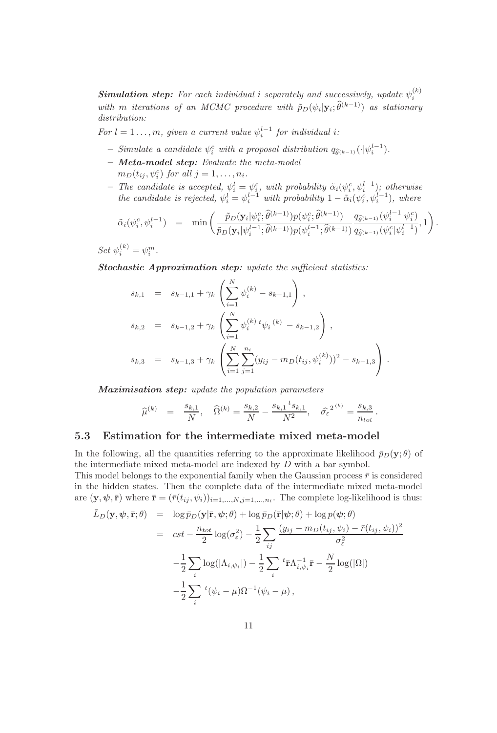**Simulation step:** For each individual i separately and successively, update  $\psi_i^{(k)}$ i with m iterations of an MCMC procedure with  $\tilde{p}_D(\psi_i|\mathbf{y}_i;\theta^{(k-1)})$  as stationary distribution:

For  $l = 1 \ldots, m$ , given a current value  $\psi_i^{l-1}$  for individual i:

- Simulate a candidate  $\psi_i^c$  with a proposal distribution  $q_{\widehat{\theta}^{(k-1)}}(\cdot|\psi_i^{l-1})$ .
- Meta-model step: Evaluate the meta-model  $m_D(t_{ij}, \psi_i^c)$  for all  $j = 1, \ldots, n_i$ .
- The candidate is accepted,  $\psi_i^l = \psi_i^c$ , with probability  $\tilde{\alpha}_i(\psi_i^c, \psi_i^{l-1})$ ; otherwise the candidate is rejected,  $\psi_i^l = \psi_i^{l-1}$  with probability  $1 - \tilde{\alpha}_i(\psi_i^c, \psi_i^{l-1})$ , where

$$
\tilde{\alpha}_{i}(\psi_{i}^{c},\psi_{i}^{l-1}) = \min \left( \frac{\tilde{p}_{D}(\mathbf{y}_{i}|\psi_{i}^{c};\hat{\theta}^{(k-1)})p(\psi_{i}^{c};\hat{\theta}^{(k-1)})}{\tilde{p}_{D}(\mathbf{y}_{i}|\psi_{i}^{l-1};\hat{\theta}^{(k-1)})p(\psi_{i}^{l-1};\hat{\theta}^{(k-1)})} \frac{q_{\hat{\theta}^{(k-1)}}(\psi_{i}^{l-1}|\psi_{i}^{c})}{q_{\hat{\theta}^{(k-1)}}(\psi_{i}^{c}|\psi_{i}^{l-1})},1 \right).
$$

Set  $\psi_i^{(k)} = \psi_i^m$ .

Stochastic Approximation step: update the sufficient statistics:

$$
s_{k,1} = s_{k-1,1} + \gamma_k \left( \sum_{i=1}^N \psi_i^{(k)} - s_{k-1,1} \right),
$$
  
\n
$$
s_{k,2} = s_{k-1,2} + \gamma_k \left( \sum_{i=1}^N \psi_i^{(k)} t \psi_i^{(k)} - s_{k-1,2} \right),
$$
  
\n
$$
s_{k,3} = s_{k-1,3} + \gamma_k \left( \sum_{i=1}^N \sum_{j=1}^{n_i} (y_{ij} - m_D(t_{ij}, \psi_i^{(k)}))^2 - s_{k-1,3} \right).
$$

Maximisation step: update the population parameters

$$
\widehat{\mu}^{(k)} = \frac{s_{k,1}}{N}, \quad \widehat{\Omega}^{(k)} = \frac{s_{k,2}}{N} - \frac{s_{k,1} t_{s_{k,1}}}{N^2}, \quad \widehat{\sigma}_{\varepsilon}^{2^{(k)}} = \frac{s_{k,3}}{n_{tot}}.
$$

#### 5.3 Estimation for the intermediate mixed meta-model

In the following, all the quantities referring to the approximate likelihood  $\bar{p}_D(\mathbf{y}; \theta)$  of the intermediate mixed meta-model are indexed by D with a bar symbol.

This model belongs to the exponential family when the Gaussian process  $\bar{r}$  is considered in the hidden states. Then the complete data of the intermediate mixed meta-model are  $(\mathbf{y}, \psi, \bar{\mathbf{r}})$  where  $\bar{\mathbf{r}} = (\bar{r}(t_{ij}, \psi_i))_{i=1,\dots,N,j=1,\dots,n_i}$ . The complete log-likelihood is thus:

$$
\bar{L}_D(\mathbf{y}, \psi, \bar{\mathbf{r}}; \theta) = \log \bar{p}_D(\mathbf{y} | \bar{\mathbf{r}}, \psi; \theta) + \log \bar{p}_D(\bar{\mathbf{r}} | \psi; \theta) + \log p(\psi; \theta)
$$
\n
$$
= cst - \frac{n_{tot}}{2} \log(\sigma_{\varepsilon}^2) - \frac{1}{2} \sum_{ij} \frac{(y_{ij} - m_D(t_{ij}, \psi_i) - \bar{r}(t_{ij}, \psi_i))^2}{\sigma_{\varepsilon}^2}
$$
\n
$$
-\frac{1}{2} \sum_{i} \log(|\Lambda_{i, \psi_i}|) - \frac{1}{2} \sum_{i} {}^{t} \bar{\mathbf{r}} \Lambda_{i, \psi_i}^{-1} \bar{\mathbf{r}} - \frac{N}{2} \log(|\Omega|)
$$
\n
$$
-\frac{1}{2} \sum_{i} {}^{t} (\psi_i - \mu) \Omega^{-1}(\psi_i - \mu),
$$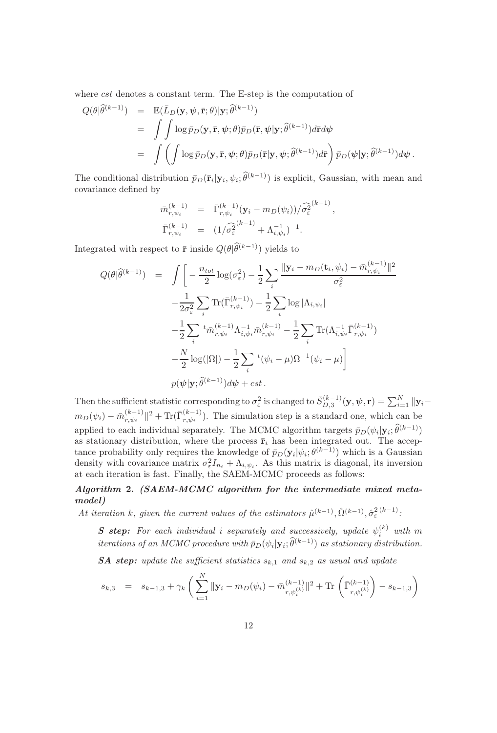where *cst* denotes a constant term. The E-step is the computation of

$$
Q(\theta|\widehat{\theta}^{(k-1)}) = \mathbb{E}(\bar{L}_D(\mathbf{y}, \psi, \bar{\mathbf{r}}; \theta)|\mathbf{y}; \widehat{\theta}^{(k-1)})
$$
  
\n
$$
= \int \int \log \bar{p}_D(\mathbf{y}, \bar{\mathbf{r}}, \psi; \theta) \bar{p}_D(\bar{\mathbf{r}}, \psi|\mathbf{y}; \widehat{\theta}^{(k-1)}) d\bar{\mathbf{r}} d\psi
$$
  
\n
$$
= \int \left( \int \log \bar{p}_D(\mathbf{y}, \bar{\mathbf{r}}, \psi; \theta) \bar{p}_D(\bar{\mathbf{r}}|\mathbf{y}, \psi; \widehat{\theta}^{(k-1)}) d\bar{\mathbf{r}} \right) \bar{p}_D(\psi|\mathbf{y}; \widehat{\theta}^{(k-1)}) d\psi.
$$

The conditional distribution  $\bar{p}_D(\bar{\mathbf{r}}_i|\mathbf{y}_i,\psi_i;\theta^{(k-1)})$  is explicit, Gaussian, with mean and covariance defined by

$$
\begin{array}{rcl}\n\bar{m}_{r,\psi_i}^{(k-1)} & = & \bar{\Gamma}_{r,\psi_i}^{(k-1)}(\mathbf{y}_i - m_D(\psi_i)) / \widehat{\sigma}_{\varepsilon}^{2(k-1)}, \\
\bar{\Gamma}_{r,\psi_i}^{(k-1)} & = & \left(1 / \widehat{\sigma}_{\varepsilon}^{2(k-1)} + \Lambda_{i,\psi_i}^{-1}\right)^{-1}.\n\end{array}
$$

Integrated with respect to  $\bar{\mathbf{r}}$  inside  $Q(\theta|\hat{\theta}^{(k-1)})$  yields to

$$
Q(\theta|\widehat{\theta}^{(k-1)}) = \int \left[ -\frac{n_{tot}}{2} \log(\sigma_{\varepsilon}^{2}) - \frac{1}{2} \sum_{i} \frac{\|\mathbf{y}_{i} - m_{D}(\mathbf{t}_{i}, \psi_{i}) - \bar{m}_{r, \psi_{i}}^{(k-1)} \|^{2}}{\sigma_{\varepsilon}^{2}} - \frac{1}{2\sigma_{\varepsilon}^{2}} \sum_{i} \text{Tr}(\bar{\Gamma}_{r, \psi_{i}}^{(k-1)}) - \frac{1}{2} \sum_{i} \log |\Lambda_{i, \psi_{i}}| - \frac{1}{2} \sum_{i} \sum_{i} \pi_{r, \psi_{i}}^{(k-1)} \Lambda_{i, \psi_{i}}^{-1} \bar{m}_{r, \psi_{i}}^{(k-1)} - \frac{1}{2} \sum_{i} \text{Tr}(\Lambda_{i, \psi_{i}}^{-1} \bar{\Gamma}_{r, \psi_{i}}^{(k-1)}) - \frac{N}{2} \log(|\Omega|) - \frac{1}{2} \sum_{i} {}^{t} (\psi_{i} - \mu) \Omega^{-1}(\psi_{i} - \mu) \right] - p(\psi|\mathbf{y}; \widehat{\theta}^{(k-1)}) d\psi + cst.
$$

Then the sufficient statistic corresponding to  $\sigma_{\varepsilon}^2$  is changed to  $\bar{S}_{D,3}^{(k-1)}$  $\hat{\psi}^{(k-1)}_{D,3}(\mathbf{y},\boldsymbol{\psi},\mathbf{r})=\sum_{i=1}^N\|\mathbf{y}_i-\hat{\mathbf{r}}_i\|^2$  $m_D(\psi_i) - \bar m_{r,\psi_i}^{(k-1)}$  $\frac{(k-1)}{r,\psi_i}$ ||<sup>2</sup> + Tr( $\bar{\Gamma}^{(k-1)}_{r,\psi_i}$  $\binom{(k-1)}{r,\psi_i}$ . The simulation step is a standard one, which can be applied to each individual separately. The MCMC algorithm targets  $\bar{p}_D(\psi_i|\mathbf{y}_i;\theta^{(k-1)})$ as stationary distribution, where the process  $\bar{r}_i$  has been integrated out. The acceptance probability only requires the knowledge of  $\bar{p}_D(\mathbf{y}_i|\psi_i; \theta^{(k-1)})$  which is a Gaussian density with covariance matrix  $\sigma_{\varepsilon}^2 I_{n_i} + \Lambda_{i,\psi_i}$ . As this matrix is diagonal, its inversion at each iteration is fast. Finally, the SAEM-MCMC proceeds as follows:

#### Algorithm 2. (SAEM-MCMC algorithm for the intermediate mixed metamodel)

At iteration k, given the current values of the estimators  $\hat{\mu}^{(k-1)}$ ,  $\hat{\Omega}^{(k-1)}$ ,  $\hat{\sigma}_{\varepsilon}^{2(k-1)}$ .

**S** step: For each individual i separately and successively, update  $\psi_i^{(k)}$  with m iterations of an MCMC procedure with  $\bar{p}_D(\psi_i|\mathbf{y}_i;\hat{\theta}^{(k-1)})$  as stationary distribution.

**SA step:** update the sufficient statistics  $s_{k,1}$  and  $s_{k,2}$  as usual and update

$$
s_{k,3} = s_{k-1,3} + \gamma_k \left( \sum_{i=1}^N \|\mathbf{y}_i - m_D(\psi_i) - \bar{m}_{r,\psi_i^{(k)}}^{(k-1)}\|^2 + \text{Tr} \left( \bar{\Gamma}_{r,\psi_i^{(k)}}^{(k-1)} \right) - s_{k-1,3} \right)
$$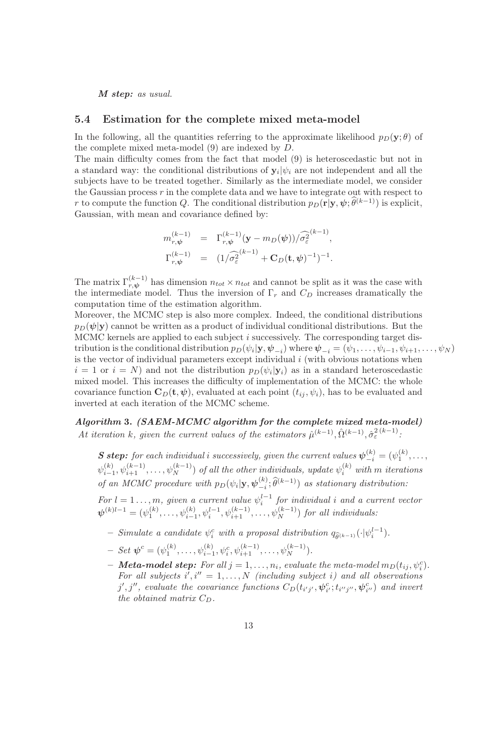M step: as usual.

#### 5.4 Estimation for the complete mixed meta-model

In the following, all the quantities referring to the approximate likelihood  $p_D(\mathbf{y}; \theta)$  of the complete mixed meta-model (9) are indexed by D.

The main difficulty comes from the fact that model (9) is heteroscedastic but not in a standard way: the conditional distributions of  $y_i|\psi_i$  are not independent and all the subjects have to be treated together. Similarly as the intermediate model, we consider the Gaussian process  $r$  in the complete data and we have to integrate out with respect to r to compute the function Q. The conditional distribution  $p_D(\mathbf{r}|\mathbf{y}, \psi; \hat{\theta}^{(k-1)})$  is explicit, Gaussian, with mean and covariance defined by:

$$
m_{r,\psi}^{(k-1)} = \Gamma_{r,\psi}^{(k-1)} (\mathbf{y} - m_D(\psi)) / \widehat{\sigma}_{\varepsilon}^{2(k-1)},
$$
  

$$
\Gamma_{r,\psi}^{(k-1)} = (1 / \widehat{\sigma}_{\varepsilon}^{2(k-1)} + \mathbf{C}_D(\mathbf{t}, \psi)^{-1})^{-1}.
$$

The matrix  $\Gamma_{r,\psi}^{(k-1)}$  has dimension  $n_{tot} \times n_{tot}$  and cannot be split as it was the case with the intermediate model. Thus the inversion of  $\Gamma_r$  and  $C_D$  increases dramatically the computation time of the estimation algorithm.

Moreover, the MCMC step is also more complex. Indeed, the conditional distributions  $p_D(\psi|\mathbf{y})$  cannot be written as a product of individual conditional distributions. But the MCMC kernels are applied to each subject i successively. The corresponding target distribution is the conditional distribution  $p_D(\psi_i|\mathbf{y},\boldsymbol{\psi}_{-i})$  where  $\boldsymbol{\psi}_{-i} = (\psi_1,\ldots,\psi_{i-1},\psi_{i+1},\ldots,\psi_N)$ is the vector of individual parameters except individual  $i$  (with obvious notations when  $i = 1$  or  $i = N$ ) and not the distribution  $p_D(\psi_i|\mathbf{y}_i)$  as in a standard heteroscedastic mixed model. This increases the difficulty of implementation of the MCMC: the whole covariance function  $\mathbf{C}_D(\mathbf{t}, \psi)$ , evaluated at each point  $(t_{ij}, \psi_i)$ , has to be evaluated and inverted at each iteration of the MCMC scheme.

### Algorithm 3. (SAEM-MCMC algorithm for the complete mixed meta-model) At iteration k, given the current values of the estimators  $\hat{\mu}^{(k-1)}$ ,  $\hat{\Omega}^{(k-1)}$ ,  $\hat{\sigma}_{\varepsilon}^{2(k-1)}$ .

**S** step: for each individual i successively, given the current values  $\psi_{-i}^{(k)} = (\psi_1^{(k)}, \ldots, \psi_{-i}^{(k)})$  $\psi_{i-1}^{(k)}, \psi_{i+1}^{(k-1)}, \ldots, \psi_N^{(k-1)}$  of all the other individuals, update  $\psi_i^{(k)}$  with m iterations of an MCMC procedure with  $p_D(\psi_i|\mathbf{y}, \boldsymbol{\psi}_{-i}^{(k)})$  $\binom{(k)}{-i}$ ;  $\widehat{\theta}^{(k-1)}$ ) as stationary distribution:

For  $l = 1 \ldots, m$ , given a current value  $\psi_i^{l-1}$  for individual i and a current vector  $\psi^{(k)l-1} = (\psi_1^{(k)}, \dots, \psi_{i-1}^{(k)}, \psi_{i}^{l-1}, \psi_{i+1}^{(k-1)}, \dots, \psi_N^{(k-1)})$  for all individuals:

- Simulate a candidate  $\psi_i^c$  with a proposal distribution  $q_{\widehat{\theta}^{(k-1)}}(\cdot|\psi_i^{l-1})$ .
- $Set \boldsymbol{\psi}^c = (\psi_1^{(k)}, \dots, \psi_{i-1}^{(k)}, \psi_i^c, \psi_{i+1}^{(k-1)}, \dots, \psi_N^{(k-1)}).$
- **Meta-model step:** For all  $j = 1, ..., n_i$ , evaluate the meta-model  $m_D(t_{ij}, \psi_i^c)$ . For all subjects  $i', i'' = 1, ..., N$  (including subject i) and all observations  $j', j'',$  evaluate the covariance functions  $C_D(t_{i'j'}, \psi_{i'}^c; t_{i''j''}, \psi_{i''}^c)$  and invert the obtained matrix  $C_D$ .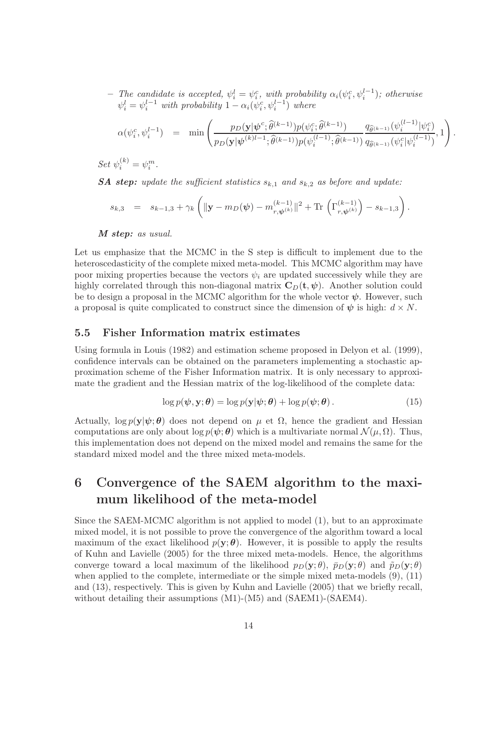- The candidate is accepted,  $\psi_i^l = \psi_i^c$ , with probability  $\alpha_i(\psi_i^c, \psi_i^{l-1})$ ; otherwise  $\psi_i^l = \psi_i^{l-1}$  with probability  $1 - \alpha_i(\psi_i^c, \psi_i^{l-1})$  where

$$
\alpha(\psi_i^c, \psi_i^{l-1}) = \min \left( \frac{p_D(\mathbf{y}|\psi^c; \hat{\theta}^{(k-1)}) p(\psi_i^c; \hat{\theta}^{(k-1)})}{p_D(\mathbf{y}|\psi^{(k)l-1}; \hat{\theta}^{(k-1)}) p(\psi_i^{(l-1)}; \hat{\theta}^{(k-1)})} \frac{q_{\hat{\theta}^{(k-1)}}(\psi_i^{(l-1)}|\psi_i^c)}{q_{\hat{\theta}^{(k-1)}}(\psi_i^c|\psi_i^{(l-1)})}, 1 \right)
$$

.

Set  $\psi_i^{(k)} = \psi_i^m$ .

**SA step:** update the sufficient statistics  $s_{k,1}$  and  $s_{k,2}$  as before and update:

$$
s_{k,3} = s_{k-1,3} + \gamma_k \left( \|\mathbf{y} - m_D(\boldsymbol{\psi}) - m_{r,\boldsymbol{\psi}^{(k)}}^{(k-1)} \|^2 + \text{Tr} \left( \Gamma_{r,\boldsymbol{\psi}^{(k)}}^{(k-1)} \right) - s_{k-1,3} \right).
$$

M step: as usual.

Let us emphasize that the MCMC in the S step is difficult to implement due to the heteroscedasticity of the complete mixed meta-model. This MCMC algorithm may have poor mixing properties because the vectors  $\psi_i$  are updated successively while they are highly correlated through this non-diagonal matrix  $C_D(t, \psi)$ . Another solution could be to design a proposal in the MCMC algorithm for the whole vector  $\psi$ . However, such a proposal is quite complicated to construct since the dimension of  $\psi$  is high:  $d \times N$ .

#### 5.5 Fisher Information matrix estimates

Using formula in Louis (1982) and estimation scheme proposed in Delyon et al. (1999), confidence intervals can be obtained on the parameters implementing a stochastic approximation scheme of the Fisher Information matrix. It is only necessary to approximate the gradient and the Hessian matrix of the log-likelihood of the complete data:

$$
\log p(\boldsymbol{\psi}, \mathbf{y}; \boldsymbol{\theta}) = \log p(\mathbf{y}|\boldsymbol{\psi}; \boldsymbol{\theta}) + \log p(\boldsymbol{\psi}; \boldsymbol{\theta}). \tag{15}
$$

Actually,  $\log p(\mathbf{y}|\boldsymbol{\psi}; \boldsymbol{\theta})$  does not depend on  $\mu$  et  $\Omega$ , hence the gradient and Hessian computations are only about  $\log p(\psi; \theta)$  which is a multivariate normal  $\mathcal{N}(\mu, \Omega)$ . Thus, this implementation does not depend on the mixed model and remains the same for the standard mixed model and the three mixed meta-models.

## 6 Convergence of the SAEM algorithm to the maximum likelihood of the meta-model

Since the SAEM-MCMC algorithm is not applied to model (1), but to an approximate mixed model, it is not possible to prove the convergence of the algorithm toward a local maximum of the exact likelihood  $p(\mathbf{y}; \boldsymbol{\theta})$ . However, it is possible to apply the results of Kuhn and Lavielle (2005) for the three mixed meta-models. Hence, the algorithms converge toward a local maximum of the likelihood  $p_D(\mathbf{y}; \theta)$ ,  $\bar{p}_D(\mathbf{y}; \theta)$  and  $\tilde{p}_D(\mathbf{y}; \theta)$ when applied to the complete, intermediate or the simple mixed meta-models (9), (11) and (13), respectively. This is given by Kuhn and Lavielle (2005) that we briefly recall, without detailing their assumptions  $(M1)-(M5)$  and  $(SAEM1)-(SAEM4)$ .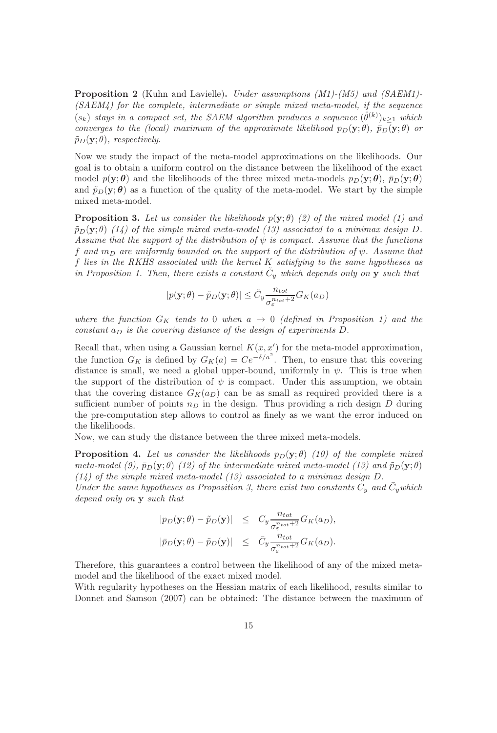Proposition 2 (Kuhn and Lavielle). Under assumptions (M1)-(M5) and (SAEM1)-(SAEM4) for the complete, intermediate or simple mixed meta-model, if the sequence  $(s_k)$  stays in a compact set, the SAEM algorithm produces a sequence  $(\hat{\theta}^{(k)})_{k\geq 1}$  which converges to the (local) maximum of the approximate likelihood  $p_D(y; \theta)$ ,  $\bar{p}_D(y; \theta)$  or  $\tilde{p}_D(\mathbf{y};\theta)$ , respectively.

Now we study the impact of the meta-model approximations on the likelihoods. Our goal is to obtain a uniform control on the distance between the likelihood of the exact model  $p(\mathbf{y}; \theta)$  and the likelihoods of the three mixed meta-models  $p_D(\mathbf{y}; \theta)$ ,  $\bar{p}_D(\mathbf{y}; \theta)$ and  $\tilde{p}_D(y;\theta)$  as a function of the quality of the meta-model. We start by the simple mixed meta-model.

**Proposition 3.** Let us consider the likelihoods  $p(\mathbf{y}; \theta)$  (2) of the mixed model (1) and  $\tilde{p}_D(\mathbf{y};\theta)$  (14) of the simple mixed meta-model (13) associated to a minimax design D. Assume that the support of the distribution of  $\psi$  is compact. Assume that the functions f and  $m_D$  are uniformly bounded on the support of the distribution of  $\psi$ . Assume that f lies in the RKHS associated with the kernel K satisfying to the same hypotheses as in Proposition 1. Then, there exists a constant  $\tilde{C}_y$  which depends only on y such that

$$
|p(\mathbf{y};\theta) - \tilde{p}_D(\mathbf{y};\theta)| \leq \tilde{C}_y \frac{n_{tot}}{\sigma_{\varepsilon}^{n_{tot}+2}} G_K(a_D)
$$

where the function  $G_K$  tends to 0 when  $a \to 0$  (defined in Proposition 1) and the constant  $a_D$  is the covering distance of the design of experiments D.

Recall that, when using a Gaussian kernel  $K(x, x')$  for the meta-model approximation, the function  $G_K$  is defined by  $G_K(a) = Ce^{-\delta/a^2}$ . Then, to ensure that this covering distance is small, we need a global upper-bound, uniformly in  $\psi$ . This is true when the support of the distribution of  $\psi$  is compact. Under this assumption, we obtain that the covering distance  $G_K(a_D)$  can be as small as required provided there is a sufficient number of points  $n_D$  in the design. Thus providing a rich design D during the pre-computation step allows to control as finely as we want the error induced on the likelihoods.

Now, we can study the distance between the three mixed meta-models.

**Proposition 4.** Let us consider the likelihoods  $p_D(y; \theta)$  (10) of the complete mixed meta-model (9),  $\bar{p}_D(\mathbf{y}; \theta)$  (12) of the intermediate mixed meta-model (13) and  $\tilde{p}_D(\mathbf{y}; \theta)$  $(14)$  of the simple mixed meta-model  $(13)$  associated to a minimax design D.

Under the same hypotheses as Proposition 3, there exist two constants  $C_y$  and  $\bar{C}_y$  which depend only on y such that

$$
|p_D(\mathbf{y};\theta) - \tilde{p}_D(\mathbf{y})| \leq C_y \frac{n_{tot}}{\sigma_{\varepsilon}^{n_{tot}+2}} G_K(a_D),
$$
  

$$
|\bar{p}_D(\mathbf{y};\theta) - \tilde{p}_D(\mathbf{y})| \leq \bar{C}_y \frac{n_{tot}}{\sigma_{\varepsilon}^{n_{tot}+2}} G_K(a_D).
$$

Therefore, this guarantees a control between the likelihood of any of the mixed metamodel and the likelihood of the exact mixed model.

With regularity hypotheses on the Hessian matrix of each likelihood, results similar to Donnet and Samson (2007) can be obtained: The distance between the maximum of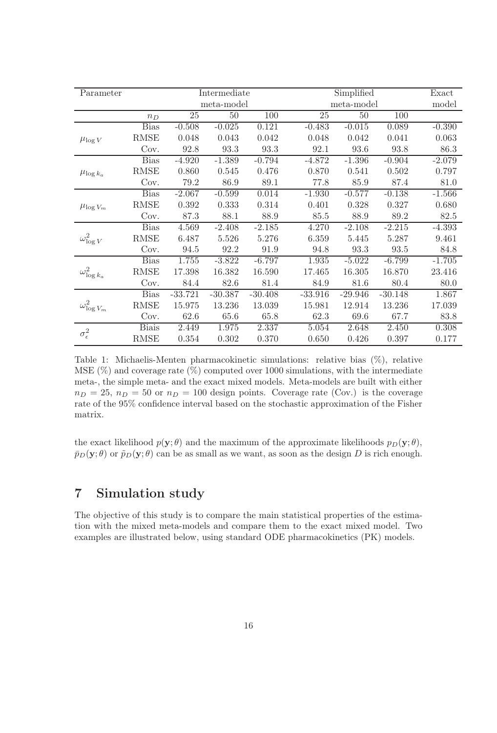| Parameter             |              |           | Intermediate    |           |            | Exact     |           |          |
|-----------------------|--------------|-----------|-----------------|-----------|------------|-----------|-----------|----------|
|                       |              |           | meta-model      |           | meta-model |           |           | model    |
|                       | $n_D$        | 25        | $\overline{50}$ | 100       | 25         | 50        | 100       |          |
| $\mu_{\log V}$        | <b>Bias</b>  | $-0.508$  | $-0.025$        | 0.121     | $-0.483$   | $-0.015$  | 0.089     | $-0.390$ |
|                       | <b>RMSE</b>  | 0.048     | 0.043           | 0.042     | 0.048      | 0.042     | 0.041     | 0.063    |
|                       | Cov.         | 92.8      | 93.3            | 93.3      | 92.1       | 93.6      | 93.8      | 86.3     |
| $\mu_{\log k_a}$      | <b>Bias</b>  | $-4.920$  | $-1.389$        | $-0.794$  | $-4.872$   | $-1.396$  | $-0.904$  | $-2.079$ |
|                       | <b>RMSE</b>  | 0.860     | 0.545           | 0.476     | 0.870      | 0.541     | $0.502\,$ | 0.797    |
|                       | Cov.         | 79.2      | 86.9            | 89.1      | 77.8       | 85.9      | 87.4      | 81.0     |
| $\mu_{\log V_m}$      | <b>Bias</b>  | $-2.067$  | $-0.599$        | 0.014     | $-1.930$   | $-0.577$  | $-0.138$  | $-1.566$ |
|                       | <b>RMSE</b>  | 0.392     | 0.333           | 0.314     | 0.401      | 0.328     | 0.327     | 0.680    |
|                       | Cov.         | 87.3      | 88.1            | 88.9      | 85.5       | 88.9      | 89.2      | 82.5     |
| $\omega^2_{\log V}$   | <b>Bias</b>  | 4.569     | $-2.408$        | $-2.185$  | 4.270      | $-2.108$  | $-2.215$  | $-4.393$ |
|                       | <b>RMSE</b>  | 6.487     | 5.526           | 5.276     | 6.359      | 5.445     | 5.287     | 9.461    |
|                       | Cov.         | 94.5      | 92.2            | 91.9      | 94.8       | 93.3      | 93.5      | 84.8     |
| $\omega_{\log k_a}^2$ | <b>Bias</b>  | 1.755     | $-3.822$        | $-6.797$  | 1.935      | $-5.022$  | $-6.799$  | $-1.705$ |
|                       | <b>RMSE</b>  | 17.398    | 16.382          | 16.590    | 17.465     | 16.305    | 16.870    | 23.416   |
|                       | Cov.         | 84.4      | 82.6            | 81.4      | 84.9       | 81.6      | 80.4      | 80.0     |
| $\omega_{\log V_m}^2$ | <b>Bias</b>  | $-33.721$ | $-30.387$       | $-30.408$ | $-33.916$  | $-29.946$ | $-30.148$ | 1.867    |
|                       | <b>RMSE</b>  | 15.975    | 13.236          | 13.039    | 15.981     | 12.914    | 13.236    | 17.039   |
|                       | Cov.         | 62.6      | 65.6            | 65.8      | 62.3       | 69.6      | 67.7      | 83.8     |
| $\sigma_{\epsilon}^2$ | <b>Biais</b> | 2.449     | 1.975           | 2.337     | 5.054      | 2.648     | 2.450     | 0.308    |
|                       | <b>RMSE</b>  | 0.354     | 0.302           | 0.370     | 0.650      | 0.426     | 0.397     | 0.177    |

Table 1: Michaelis-Menten pharmacokinetic simulations: relative bias (%), relative MSE  $(\%)$  and coverage rate  $(\%)$  computed over 1000 simulations, with the intermediate meta-, the simple meta- and the exact mixed models. Meta-models are built with either  $n_D = 25$ ,  $n_D = 50$  or  $n_D = 100$  design points. Coverage rate (Cov.) is the coverage rate of the 95% confidence interval based on the stochastic approximation of the Fisher matrix.

the exact likelihood  $p(\mathbf{y}; \theta)$  and the maximum of the approximate likelihoods  $p_D(\mathbf{y}; \theta)$ ,  $\bar{p}_D(y; \theta)$  or  $\tilde{p}_D(y; \theta)$  can be as small as we want, as soon as the design D is rich enough.

## 7 Simulation study

The objective of this study is to compare the main statistical properties of the estimation with the mixed meta-models and compare them to the exact mixed model. Two examples are illustrated below, using standard ODE pharmacokinetics (PK) models.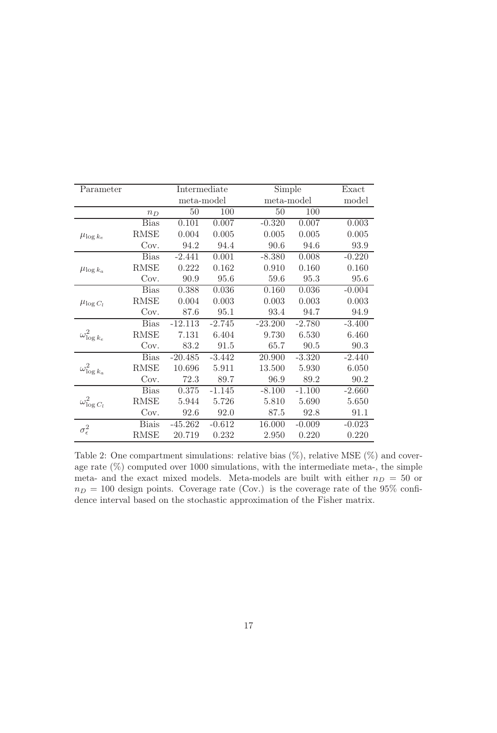| Parameter             |              | Intermediate |          | Simple    | Exact      |          |
|-----------------------|--------------|--------------|----------|-----------|------------|----------|
|                       |              | meta-model   |          |           | meta-model |          |
|                       | $n_D$        | 50           | 100      | 50        | 100        |          |
|                       | <b>Bias</b>  | 0.101        | 0.007    | $-0.320$  | 0.007      | 0.003    |
| $\mu_{\log k_e}$      | <b>RMSE</b>  | 0.004        | 0.005    | 0.005     | 0.005      | 0.005    |
|                       | Cov.         | 94.2         | 94.4     | 90.6      | 94.6       | 93.9     |
|                       | <b>Bias</b>  | $-2.441$     | 0.001    | $-8.380$  | 0.008      | $-0.220$ |
| $\mu_{\log k_a}$      | <b>RMSE</b>  | 0.222        | 0.162    | 0.910     | 0.160      | 0.160    |
|                       | Cov.         | 90.9         | 95.6     | 59.6      | 95.3       | 95.6     |
|                       | <b>Bias</b>  | 0.388        | 0.036    | 0.160     | 0.036      | $-0.004$ |
| $\mu_{\log C_l}$      | RMSE         | 0.004        | 0.003    | 0.003     | 0.003      | 0.003    |
|                       | Cov.         | 87.6         | 95.1     | 93.4      | 94.7       | 94.9     |
|                       | <b>Bias</b>  | $-12.113$    | $-2.745$ | $-23.200$ | $-2.780$   | $-3.400$ |
| $\omega^2_{\log k_e}$ | RMSE         | 7.131        | 6.404    | 9.730     | 6.530      | 6.460    |
|                       | Cov.         | 83.2         | 91.5     | 65.7      | 90.5       | 90.3     |
|                       | <b>Bias</b>  | $-20.485$    | $-3.442$ | 20.900    | $-3.320$   | $-2.440$ |
| $\omega_{\log k_a}^2$ | RMSE         | 10.696       | 5.911    | 13.500    | 5.930      | 6.050    |
|                       | Cov.         | 72.3         | 89.7     | 96.9      | 89.2       | 90.2     |
|                       | <b>Bias</b>  | 0.375        | $-1.145$ | $-8.100$  | $-1.100$   | $-2.660$ |
| $\omega^2_{\log C_l}$ | RMSE         | 5.944        | 5.726    | 5.810     | 5.690      | 5.650    |
|                       | Cov.         | 92.6         | 92.0     | 87.5      | 92.8       | 91.1     |
| $\sigma_{\epsilon}^2$ | <b>Biais</b> | $-45.262$    | $-0.612$ | 16.000    | $-0.009$   | $-0.023$ |
|                       | RMSE         | 20.719       | 0.232    | 2.950     | 0.220      | 0.220    |

Table 2: One compartment simulations: relative bias  $(\%)$ , relative MSE  $(\%)$  and coverage rate (%) computed over 1000 simulations, with the intermediate meta-, the simple meta- and the exact mixed models. Meta-models are built with either  $n_D = 50$  or  $n_D = 100$  design points. Coverage rate (Cov.) is the coverage rate of the 95% confidence interval based on the stochastic approximation of the Fisher matrix.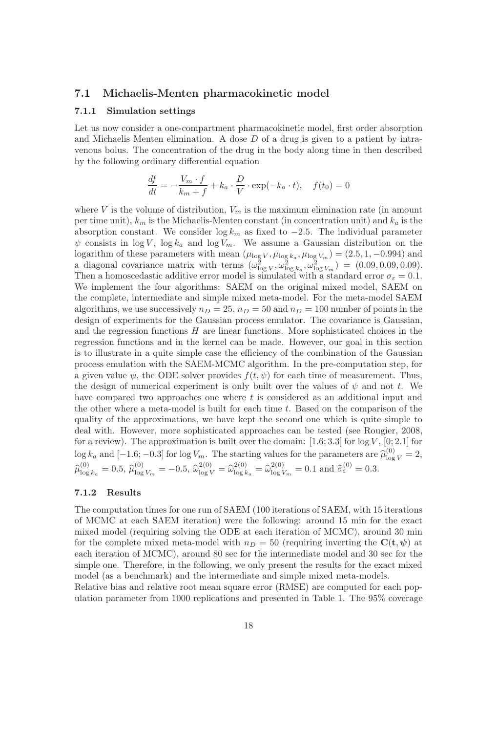#### 7.1 Michaelis-Menten pharmacokinetic model

#### 7.1.1 Simulation settings

Let us now consider a one-compartment pharmacokinetic model, first order absorption and Michaelis Menten elimination. A dose  $D$  of a drug is given to a patient by intravenous bolus. The concentration of the drug in the body along time in then described by the following ordinary differential equation

$$
\frac{df}{dt} = -\frac{V_m \cdot f}{k_m + f} + k_a \cdot \frac{D}{V} \cdot \exp(-k_a \cdot t), \quad f(t_0) = 0
$$

where V is the volume of distribution,  $V_m$  is the maximum elimination rate (in amount per time unit),  $k_m$  is the Michaelis-Menten constant (in concentration unit) and  $k_a$  is the absorption constant. We consider  $\log k_m$  as fixed to  $-2.5$ . The individual parameter  $\psi$  consists in log V, log  $k_a$  and log  $\widetilde{V}_m$ . We assume a Gaussian distribution on the logarithm of these parameters with mean  $(\mu_{\log V}, \mu_{\log k_a}, \mu_{\log V_m}) = (2.5, 1, -0.994)$  and a diagonal covariance matrix with terms  $(\omega_{\log V}^2, \omega_{\log k_a}^2, \omega_{\log V_m}^2) = (0.09, 0.09, 0.09).$ Then a homoscedastic additive error model is simulated with a standard error  $\sigma_{\epsilon} = 0.1$ . We implement the four algorithms: SAEM on the original mixed model, SAEM on the complete, intermediate and simple mixed meta-model. For the meta-model SAEM algorithms, we use successively  $n_D = 25$ ,  $n_D = 50$  and  $n_D = 100$  number of points in the design of experiments for the Gaussian process emulator. The covariance is Gaussian, and the regression functions  $H$  are linear functions. More sophisticated choices in the regression functions and in the kernel can be made. However, our goal in this section is to illustrate in a quite simple case the efficiency of the combination of the Gaussian process emulation with the SAEM-MCMC algorithm. In the pre-computation step, for a given value  $\psi$ , the ODE solver provides  $f(t, \psi)$  for each time of measurement. Thus, the design of numerical experiment is only built over the values of  $\psi$  and not t. We have compared two approaches one where t is considered as an additional input and the other where a meta-model is built for each time t. Based on the comparison of the quality of the approximations, we have kept the second one which is quite simple to deal with. However, more sophisticated approaches can be tested (see Rougier, 2008, for a review). The approximation is built over the domain:  $[1.6; 3.3]$  for  $\log V$ ,  $[0; 2.1]$  for  $\log k_a$  and  $[-1.6; -0.3]$  for  $\log V_m$ . The starting values for the parameters are  $\hat{\mu}_{\log V}^{(0)} = 2$ ,  $\widehat{\mu}^{(0)}_{\log}$  $\int_{\log k_a}^{(0)} = 0.5, \, \widehat{\mu}_{\log}^{(0)}$  $\frac{d^{(0)}}{\log V_m} = -0.5, \ \hat{\omega}_{\log V}^{2(0)} = \hat{\omega}_{\log k}^{2(0)}$  $\log_{k_a}^{2(0)} = \widehat{\omega}_{\log}^{2(0)}$  $\frac{2(0)}{\log V_m} = 0.1$  and  $\hat{\sigma}_{\varepsilon}^{(0)} = 0.3$ .

#### 7.1.2 Results

The computation times for one run of SAEM (100 iterations of SAEM, with 15 iterations of MCMC at each SAEM iteration) were the following: around 15 min for the exact mixed model (requiring solving the ODE at each iteration of MCMC), around 30 min for the complete mixed meta-model with  $n_D = 50$  (requiring inverting the  $\mathbf{C}(\mathbf{t}, \psi)$  at each iteration of MCMC), around 80 sec for the intermediate model and 30 sec for the simple one. Therefore, in the following, we only present the results for the exact mixed model (as a benchmark) and the intermediate and simple mixed meta-models.

Relative bias and relative root mean square error (RMSE) are computed for each population parameter from 1000 replications and presented in Table 1. The 95% coverage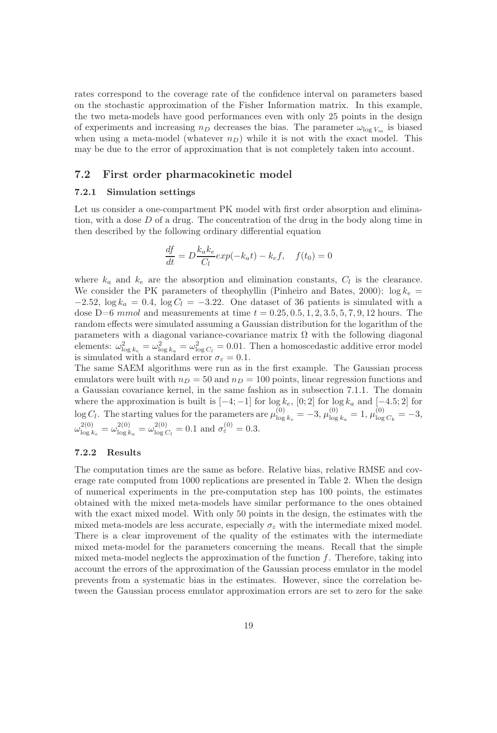rates correspond to the coverage rate of the confidence interval on parameters based on the stochastic approximation of the Fisher Information matrix. In this example, the two meta-models have good performances even with only 25 points in the design of experiments and increasing  $n_D$  decreases the bias. The parameter  $\omega_{\log V_m}$  is biased when using a meta-model (whatever  $n_D$ ) while it is not with the exact model. This may be due to the error of approximation that is not completely taken into account.

#### 7.2 First order pharmacokinetic model

#### 7.2.1 Simulation settings

Let us consider a one-compartment PK model with first order absorption and elimination, with a dose  $D$  of a drug. The concentration of the drug in the body along time in then described by the following ordinary differential equation

$$
\frac{df}{dt} = D\frac{k_a k_e}{C_l} exp(-k_a t) - k_e f, \quad f(t_0) = 0
$$

where  $k_a$  and  $k_e$  are the absorption and elimination constants,  $C_l$  is the clearance. We consider the PK parameters of the ophyllin (Pinheiro and Bates, 2000):  $\log k_e$  =  $-2.52$ ,  $\log k_a = 0.4$ ,  $\log C_l = -3.22$ . One dataset of 36 patients is simulated with a dose D=6 mmol and measurements at time  $t = 0.25, 0.5, 1, 2, 3.5, 5, 7, 9, 12$  hours. The random effects were simulated assuming a Gaussian distribution for the logarithm of the parameters with a diagonal variance-covariance matrix  $\Omega$  with the following diagonal elements:  $\omega_{\log k_e}^2 = \omega_{\log k_a}^2 = \omega_{\log C_l}^2 = 0.01$ . Then a homoscedastic additive error model is simulated with a standard error  $\sigma_{\varepsilon} = 0.1$ .

The same SAEM algorithms were run as in the first example. The Gaussian process emulators were built with  $n_D = 50$  and  $n_D = 100$  points, linear regression functions and a Gaussian covariance kernel, in the same fashion as in subsection 7.1.1. The domain where the approximation is built is  $[-4; -1]$  for  $\log k_e$ ,  $[0; 2]$  for  $\log k_a$  and  $[-4.5; 2]$  for  $\log C_l$ . The starting values for the parameters are  $\mu_{\text{log}}^{(0)}$  $\frac{\ln(0)}{\log k_e} = -3, \mu_{\log}^{(0)}$  $\frac{(0)}{\log k_a} = 1, \mu_{\log}^{(0)}$  $\frac{100}{\log C_k} = -3,$  $\omega_{\log k}^{2(0)}$  $\frac{2(0)}{\log k_e} = \omega_{\log k}^{2(0)}$  $\frac{2(0)}{\log k_a} = \omega_{\log \alpha}^{2(0)}$  $l_{\log C_l}^{2(0)} = 0.1$  and  $\sigma_{\varepsilon}^{(0)} = 0.3$ .

#### 7.2.2 Results

The computation times are the same as before. Relative bias, relative RMSE and coverage rate computed from 1000 replications are presented in Table 2. When the design of numerical experiments in the pre-computation step has 100 points, the estimates obtained with the mixed meta-models have similar performance to the ones obtained with the exact mixed model. With only 50 points in the design, the estimates with the mixed meta-models are less accurate, especially  $\sigma_{\varepsilon}$  with the intermediate mixed model. There is a clear improvement of the quality of the estimates with the intermediate mixed meta-model for the parameters concerning the means. Recall that the simple mixed meta-model neglects the approximation of the function  $f$ . Therefore, taking into account the errors of the approximation of the Gaussian process emulator in the model prevents from a systematic bias in the estimates. However, since the correlation between the Gaussian process emulator approximation errors are set to zero for the sake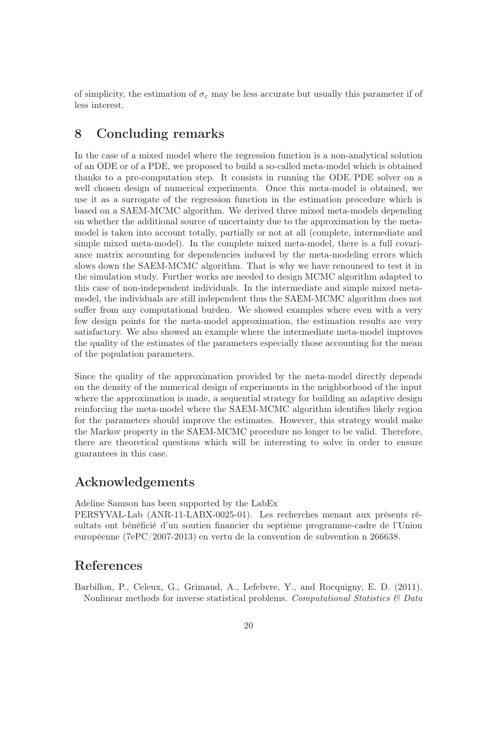of simplicity, the estimation of  $\sigma_{\varepsilon}$  may be less accurate but usually this parameter if of less interest.

## 8 Concluding remarks

In the case of a mixed model where the regression function is a non-analytical solution of an ODE or of a PDE, we proposed to build a so-called meta-model which is obtained thanks to a pre-computation step. It consists in running the ODE/PDE solver on a well chosen design of numerical experiments. Once this meta-model is obtained, we use it as a surrogate of the regression function in the estimation procedure which is based on a SAEM-MCMC algorithm. We derived three mixed meta-models depending on whether the additional source of uncertainty due to the approximation by the metamodel is taken into account totally, partially or not at all (complete, intermediate and simple mixed meta-model). In the complete mixed meta-model, there is a full covariance matrix accounting for dependencies induced by the meta-modeling errors which slows down the SAEM-MCMC algorithm. That is why we have renounced to test it in the simulation study. Further works are needed to design MCMC algorithm adapted to this case of non-independent individuals. In the intermediate and simple mixed metamodel, the individuals are still independent thus the SAEM-MCMC algorithm does not suffer from any computational burden. We showed examples where even with a very few design points for the meta-model approximation, the estimation results are very satisfactory. We also showed an example where the intermediate meta-model improves the quality of the estimates of the parameters especially those accounting for the mean of the population parameters.

Since the quality of the approximation provided by the meta-model directly depends on the density of the numerical design of experiments in the neighborhood of the input where the approximation is made, a sequential strategy for building an adaptive design reinforcing the meta-model where the SAEM-MCMC algorithm identifies likely region for the parameters should improve the estimates. However, this strategy would make the Markov property in the SAEM-MCMC procedure no longer to be valid. Therefore, there are theoretical questions which will be interesting to solve in order to ensure guarantees in this case.

## Acknowledgements

Adeline Samson has been supported by the LabEx

PERSYVAL-Lab (ANR-11-LABX-0025-01). Les recherches menant aux présents résultats ont bénéficié d'un soutien financier du septième programme-cadre de l'Union européenne (7ePC/2007-2013) en vertu de la convention de subvention n 266638.

## References

Barbillon, P., Celeux, G., Grimaud, A., Lefebvre, Y., and Rocquigny, E. D. (2011). Nonlinear methods for inverse statistical problems. Computational Statistics & Data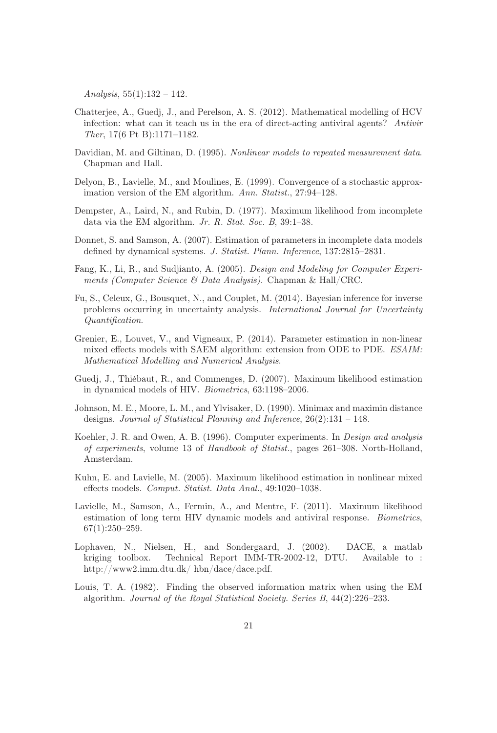Analysis,  $55(1):132 - 142$ .

- Chatterjee, A., Guedj, J., and Perelson, A. S. (2012). Mathematical modelling of HCV infection: what can it teach us in the era of direct-acting antiviral agents? Antivir Ther, 17(6 Pt B):1171–1182.
- Davidian, M. and Giltinan, D. (1995). Nonlinear models to repeated measurement data. Chapman and Hall.
- Delyon, B., Lavielle, M., and Moulines, E. (1999). Convergence of a stochastic approximation version of the EM algorithm. Ann. Statist., 27:94-128.
- Dempster, A., Laird, N., and Rubin, D. (1977). Maximum likelihood from incomplete data via the EM algorithm. Jr. R. Stat. Soc. B, 39:1–38.
- Donnet, S. and Samson, A. (2007). Estimation of parameters in incomplete data models defined by dynamical systems. J. Statist. Plann. Inference, 137:2815–2831.
- Fang, K., Li, R., and Sudjianto, A. (2005). Design and Modeling for Computer Experiments (Computer Science & Data Analysis). Chapman & Hall/CRC.
- Fu, S., Celeux, G., Bousquet, N., and Couplet, M. (2014). Bayesian inference for inverse problems occurring in uncertainty analysis. International Journal for Uncertainty Quantification.
- Grenier, E., Louvet, V., and Vigneaux, P. (2014). Parameter estimation in non-linear mixed effects models with SAEM algorithm: extension from ODE to PDE. ESAIM: Mathematical Modelling and Numerical Analysis.
- Guedj, J., Thiébaut, R., and Commenges, D. (2007). Maximum likelihood estimation in dynamical models of HIV. Biometrics, 63:1198–2006.
- Johnson, M. E., Moore, L. M., and Ylvisaker, D. (1990). Minimax and maximin distance designs. Journal of Statistical Planning and Inference, 26(2):131 – 148.
- Koehler, J. R. and Owen, A. B. (1996). Computer experiments. In Design and analysis of experiments, volume 13 of Handbook of Statist., pages 261–308. North-Holland, Amsterdam.
- Kuhn, E. and Lavielle, M. (2005). Maximum likelihood estimation in nonlinear mixed effects models. Comput. Statist. Data Anal., 49:1020–1038.
- Lavielle, M., Samson, A., Fermin, A., and Mentre, F. (2011). Maximum likelihood estimation of long term HIV dynamic models and antiviral response. Biometrics, 67(1):250–259.
- Lophaven, N., Nielsen, H., and Sondergaard, J. (2002). DACE, a matlab kriging toolbox. Technical Report IMM-TR-2002-12, DTU. Available to : http://www2.imm.dtu.dk/ hbn/dace/dace.pdf.
- Louis, T. A. (1982). Finding the observed information matrix when using the EM algorithm. Journal of the Royal Statistical Society. Series B, 44(2):226–233.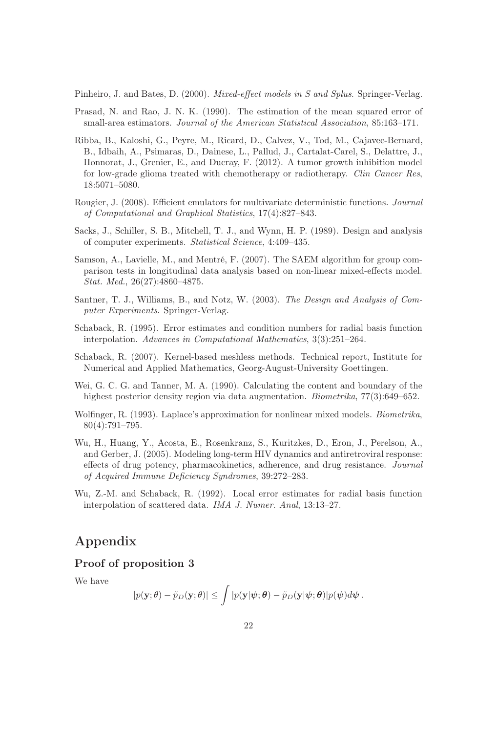Pinheiro, J. and Bates, D. (2000). Mixed-effect models in S and Splus. Springer-Verlag.

- Prasad, N. and Rao, J. N. K. (1990). The estimation of the mean squared error of small-area estimators. Journal of the American Statistical Association, 85:163–171.
- Ribba, B., Kaloshi, G., Peyre, M., Ricard, D., Calvez, V., Tod, M., Cajavec-Bernard, B., Idbaih, A., Psimaras, D., Dainese, L., Pallud, J., Cartalat-Carel, S., Delattre, J., Honnorat, J., Grenier, E., and Ducray, F. (2012). A tumor growth inhibition model for low-grade glioma treated with chemotherapy or radiotherapy. Clin Cancer Res, 18:5071–5080.
- Rougier, J. (2008). Efficient emulators for multivariate deterministic functions. Journal of Computational and Graphical Statistics, 17(4):827–843.
- Sacks, J., Schiller, S. B., Mitchell, T. J., and Wynn, H. P. (1989). Design and analysis of computer experiments. Statistical Science, 4:409–435.
- Samson, A., Lavielle, M., and Mentré, F. (2007). The SAEM algorithm for group comparison tests in longitudinal data analysis based on non-linear mixed-effects model. Stat. Med., 26(27):4860–4875.
- Santner, T. J., Williams, B., and Notz, W. (2003). The Design and Analysis of Computer Experiments. Springer-Verlag.
- Schaback, R. (1995). Error estimates and condition numbers for radial basis function interpolation. Advances in Computational Mathematics, 3(3):251–264.
- Schaback, R. (2007). Kernel-based meshless methods. Technical report, Institute for Numerical and Applied Mathematics, Georg-August-University Goettingen.
- Wei, G. C. G. and Tanner, M. A. (1990). Calculating the content and boundary of the highest posterior density region via data augmentation. Biometrika, 77(3):649–652.
- Wolfinger, R. (1993). Laplace's approximation for nonlinear mixed models. *Biometrika*, 80(4):791–795.
- Wu, H., Huang, Y., Acosta, E., Rosenkranz, S., Kuritzkes, D., Eron, J., Perelson, A., and Gerber, J. (2005). Modeling long-term HIV dynamics and antiretroviral response: effects of drug potency, pharmacokinetics, adherence, and drug resistance. Journal of Acquired Immune Deficiency Syndromes, 39:272–283.
- Wu, Z.-M. and Schaback, R. (1992). Local error estimates for radial basis function interpolation of scattered data. IMA J. Numer. Anal, 13:13–27.

## Appendix

#### Proof of proposition 3

We have

$$
|p(\mathbf{y};\theta) - \tilde{p}_D(\mathbf{y};\theta)| \leq \int |p(\mathbf{y}|\psi;\theta) - \tilde{p}_D(\mathbf{y}|\psi;\theta)|p(\psi)d\psi.
$$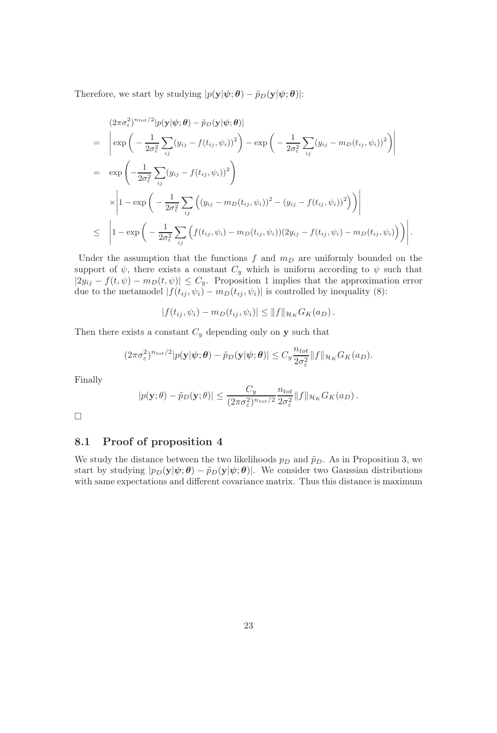Therefore, we start by studying  $|p(\mathbf{y}|\boldsymbol{\psi}; \boldsymbol{\theta}) - \tilde{p}_D(\mathbf{y}|\boldsymbol{\psi}; \boldsymbol{\theta})|$ :

$$
(2\pi\sigma_{\varepsilon}^{2})^{n_{tot}/2}|p(\mathbf{y}|\psi;\boldsymbol{\theta}) - \tilde{p}_{D}(\mathbf{y}|\psi;\boldsymbol{\theta})|
$$
\n
$$
= \left| \exp\left(-\frac{1}{2\sigma_{\varepsilon}^{2}}\sum_{ij}(y_{ij} - f(t_{ij}, \psi_{i}))^{2}\right) - \exp\left(-\frac{1}{2\sigma_{\varepsilon}^{2}}\sum_{ij}(y_{ij} - m_{D}(t_{ij}, \psi_{i}))^{2}\right) \right|
$$
\n
$$
= \exp\left(-\frac{1}{2\sigma_{\varepsilon}^{2}}\sum_{ij}(y_{ij} - f(t_{ij}, \psi_{i}))^{2}\right)
$$
\n
$$
\times \left|1 - \exp\left(-\frac{1}{2\sigma_{\varepsilon}^{2}}\sum_{ij}\left((y_{ij} - m_{D}(t_{ij}, \psi_{i}))^{2} - (y_{ij} - f(t_{ij}, \psi_{i}))^{2}\right)\right) \right|
$$
\n
$$
\leq \left|1 - \exp\left(-\frac{1}{2\sigma_{\varepsilon}^{2}}\sum_{ij}\left(f(t_{ij}, \psi_{i}) - m_{D}(t_{ij}, \psi_{i})) (2y_{ij} - f(t_{ij}, \psi_{i}) - m_{D}(t_{ij}, \psi_{i}))\right)\right|
$$

.

Under the assumption that the functions  $f$  and  $m_D$  are uniformly bounded on the support of  $\psi$ , there exists a constant  $C_y$  which is uniform according to  $\psi$  such that  $|2y_{ij} - f(t, \psi) - m_D(t, \psi)| \leq C_y$ . Proposition 1 implies that the approximation error due to the metamodel  $|f(t_{ij}, \psi_i) - m_D(t_{ij}, \psi_i)|$  is controlled by inequality (8):

$$
|f(t_{ij}, \psi_i) - m_D(t_{ij}, \psi_i)| \leq ||f||_{\mathcal{H}_K} G_K(a_D).
$$

Then there exists a constant  $C_y$  depending only on y such that

$$
(2\pi\sigma_{\varepsilon}^2)^{n_{tot}/2}|p(\mathbf{y}|\boldsymbol{\psi};\boldsymbol{\theta})-\tilde{p}_D(\mathbf{y}|\boldsymbol{\psi};\boldsymbol{\theta})|\leq C_y\frac{n_{tot}}{2\sigma_{\varepsilon}^2}\|f\|_{\mathcal{H}_K}G_K(a_D).
$$

Finally

$$
|p(\mathbf{y};\theta) - \tilde{p}_D(\mathbf{y};\theta)| \leq \frac{C_y}{(2\pi\sigma_{\varepsilon}^2)^{n_{tot}/2}} \frac{n_{tot}}{2\sigma_{\varepsilon}^2} \|f\|_{\mathcal{H}_K} G_K(a_D).
$$

 $\Box$ 

#### 8.1 Proof of proposition 4

We study the distance between the two likelihoods  $p_D$  and  $\tilde{p}_D$ . As in Proposition 3, we start by studying  $|p_D(\mathbf{y}|\psi;\theta) - \tilde{p}_D(\mathbf{y}|\psi;\theta)|$ . We consider two Gaussian distributions with same expectations and different covariance matrix. Thus this distance is maximum